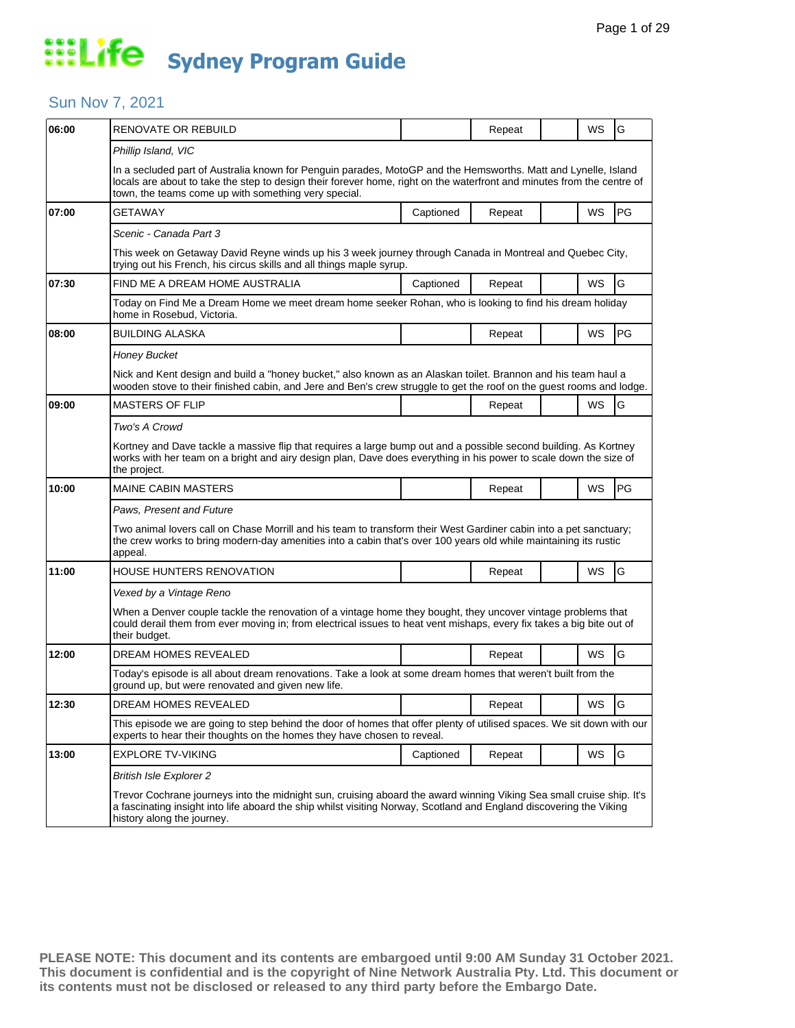### Sun Nov 7, 2021

| 06:00 | <b>RENOVATE OR REBUILD</b>                                                                                                                                                                                                                                                                       |           | Repeat |  | WS        | G  |  |  |
|-------|--------------------------------------------------------------------------------------------------------------------------------------------------------------------------------------------------------------------------------------------------------------------------------------------------|-----------|--------|--|-----------|----|--|--|
|       | Phillip Island, VIC                                                                                                                                                                                                                                                                              |           |        |  |           |    |  |  |
|       | In a secluded part of Australia known for Penguin parades, MotoGP and the Hemsworths. Matt and Lynelle, Island<br>locals are about to take the step to design their forever home, right on the waterfront and minutes from the centre of<br>town, the teams come up with something very special. |           |        |  |           |    |  |  |
| 07:00 | GETAWAY                                                                                                                                                                                                                                                                                          | Captioned | Repeat |  | WS        | PG |  |  |
|       | Scenic - Canada Part 3                                                                                                                                                                                                                                                                           |           |        |  |           |    |  |  |
|       | This week on Getaway David Reyne winds up his 3 week journey through Canada in Montreal and Quebec City,<br>trying out his French, his circus skills and all things maple syrup.                                                                                                                 |           |        |  |           |    |  |  |
| 07:30 | FIND ME A DREAM HOME AUSTRALIA                                                                                                                                                                                                                                                                   | Captioned | Repeat |  | <b>WS</b> | G  |  |  |
|       | Today on Find Me a Dream Home we meet dream home seeker Rohan, who is looking to find his dream holiday<br>home in Rosebud, Victoria.                                                                                                                                                            |           |        |  |           |    |  |  |
| 08:00 | <b>BUILDING ALASKA</b>                                                                                                                                                                                                                                                                           |           | Repeat |  | WS        | PG |  |  |
|       | <b>Honey Bucket</b>                                                                                                                                                                                                                                                                              |           |        |  |           |    |  |  |
|       | Nick and Kent design and build a "honey bucket," also known as an Alaskan toilet. Brannon and his team haul a<br>wooden stove to their finished cabin, and Jere and Ben's crew struggle to get the roof on the guest rooms and lodge.                                                            |           |        |  |           |    |  |  |
| 09:00 | <b>MASTERS OF FLIP</b>                                                                                                                                                                                                                                                                           |           | Repeat |  | WS        | G  |  |  |
|       | Two's A Crowd                                                                                                                                                                                                                                                                                    |           |        |  |           |    |  |  |
|       | Kortney and Dave tackle a massive flip that requires a large bump out and a possible second building. As Kortney<br>works with her team on a bright and airy design plan, Dave does everything in his power to scale down the size of<br>the project.                                            |           |        |  |           |    |  |  |
| 10:00 | <b>MAINE CABIN MASTERS</b>                                                                                                                                                                                                                                                                       |           | Repeat |  | WS        | PG |  |  |
|       | Paws, Present and Future                                                                                                                                                                                                                                                                         |           |        |  |           |    |  |  |
|       | Two animal lovers call on Chase Morrill and his team to transform their West Gardiner cabin into a pet sanctuary;<br>the crew works to bring modern-day amenities into a cabin that's over 100 years old while maintaining its rustic<br>appeal.                                                 |           |        |  |           |    |  |  |
| 11:00 | HOUSE HUNTERS RENOVATION                                                                                                                                                                                                                                                                         |           | Repeat |  | WS        | G  |  |  |
|       | Vexed by a Vintage Reno                                                                                                                                                                                                                                                                          |           |        |  |           |    |  |  |
|       | When a Denver couple tackle the renovation of a vintage home they bought, they uncover vintage problems that<br>could derail them from ever moving in; from electrical issues to heat vent mishaps, every fix takes a big bite out of<br>their budget.                                           |           |        |  |           |    |  |  |
| 12:00 | DREAM HOMES REVEALED                                                                                                                                                                                                                                                                             |           | Repeat |  | WS        | G  |  |  |
|       | Today's episode is all about dream renovations. Take a look at some dream homes that weren't built from the<br>ground up, but were renovated and given new life.                                                                                                                                 |           |        |  |           |    |  |  |
| 12:30 | DREAM HOMES REVEALED                                                                                                                                                                                                                                                                             |           | Repeat |  | WS        | ΙG |  |  |
|       | This episode we are going to step behind the door of homes that offer plenty of utilised spaces. We sit down with our<br>experts to hear their thoughts on the homes they have chosen to reveal.                                                                                                 |           |        |  |           |    |  |  |
| 13:00 | <b>EXPLORE TV-VIKING</b>                                                                                                                                                                                                                                                                         | Captioned | Repeat |  | WS        | G  |  |  |
|       | <b>British Isle Explorer 2</b>                                                                                                                                                                                                                                                                   |           |        |  |           |    |  |  |
|       | Trevor Cochrane journeys into the midnight sun, cruising aboard the award winning Viking Sea small cruise ship. It's<br>a fascinating insight into life aboard the ship whilst visiting Norway, Scotland and England discovering the Viking<br>history along the journey.                        |           |        |  |           |    |  |  |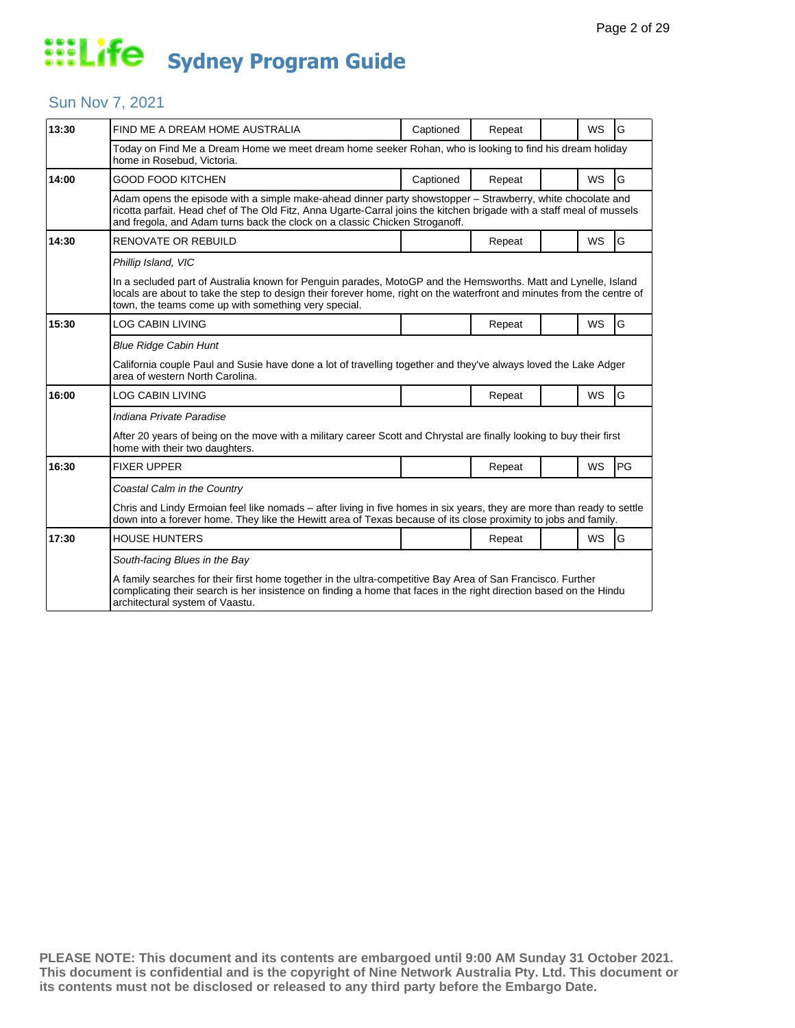### Sun Nov 7, 2021

| 13:30 | FIND ME A DREAM HOME AUSTRALIA                                                                                                                                                                                                                                                                                     | Captioned | Repeat |  | WS        | G  |  |  |
|-------|--------------------------------------------------------------------------------------------------------------------------------------------------------------------------------------------------------------------------------------------------------------------------------------------------------------------|-----------|--------|--|-----------|----|--|--|
|       | Today on Find Me a Dream Home we meet dream home seeker Rohan, who is looking to find his dream holiday<br>home in Rosebud, Victoria.                                                                                                                                                                              |           |        |  |           |    |  |  |
| 14:00 | GOOD FOOD KITCHEN                                                                                                                                                                                                                                                                                                  | Captioned | Repeat |  | <b>WS</b> | G  |  |  |
|       | Adam opens the episode with a simple make-ahead dinner party showstopper – Strawberry, white chocolate and<br>ricotta parfait. Head chef of The Old Fitz, Anna Ugarte-Carral joins the kitchen brigade with a staff meal of mussels<br>and fregola, and Adam turns back the clock on a classic Chicken Stroganoff. |           |        |  |           |    |  |  |
| 14:30 | <b>RENOVATE OR REBUILD</b>                                                                                                                                                                                                                                                                                         |           | Repeat |  | <b>WS</b> | G  |  |  |
|       | Phillip Island, VIC                                                                                                                                                                                                                                                                                                |           |        |  |           |    |  |  |
|       | In a secluded part of Australia known for Penguin parades, MotoGP and the Hemsworths. Matt and Lynelle, Island<br>locals are about to take the step to design their forever home, right on the waterfront and minutes from the centre of<br>town, the teams come up with something very special.                   |           |        |  |           |    |  |  |
| 15:30 | LOG CABIN LIVING                                                                                                                                                                                                                                                                                                   |           | Repeat |  | WS        | G  |  |  |
|       | <b>Blue Ridge Cabin Hunt</b>                                                                                                                                                                                                                                                                                       |           |        |  |           |    |  |  |
|       | California couple Paul and Susie have done a lot of travelling together and they've always loved the Lake Adger<br>area of western North Carolina.                                                                                                                                                                 |           |        |  |           |    |  |  |
| 16:00 | LOG CABIN LIVING                                                                                                                                                                                                                                                                                                   |           | Repeat |  | <b>WS</b> | G  |  |  |
|       | Indiana Private Paradise                                                                                                                                                                                                                                                                                           |           |        |  |           |    |  |  |
|       | After 20 years of being on the move with a military career Scott and Chrystal are finally looking to buy their first<br>home with their two daughters.                                                                                                                                                             |           |        |  |           |    |  |  |
| 16:30 | <b>FIXER UPPER</b>                                                                                                                                                                                                                                                                                                 |           | Repeat |  | WS        | PG |  |  |
|       | Coastal Calm in the Country                                                                                                                                                                                                                                                                                        |           |        |  |           |    |  |  |
|       | Chris and Lindy Ermoian feel like nomads - after living in five homes in six years, they are more than ready to settle<br>down into a forever home. They like the Hewitt area of Texas because of its close proximity to jobs and family.                                                                          |           |        |  |           |    |  |  |
| 17:30 | <b>HOUSE HUNTERS</b>                                                                                                                                                                                                                                                                                               |           | Repeat |  | <b>WS</b> | G  |  |  |
|       | South-facing Blues in the Bay                                                                                                                                                                                                                                                                                      |           |        |  |           |    |  |  |
|       | A family searches for their first home together in the ultra-competitive Bay Area of San Francisco. Further<br>complicating their search is her insistence on finding a home that faces in the right direction based on the Hindu<br>architectural system of Vaastu.                                               |           |        |  |           |    |  |  |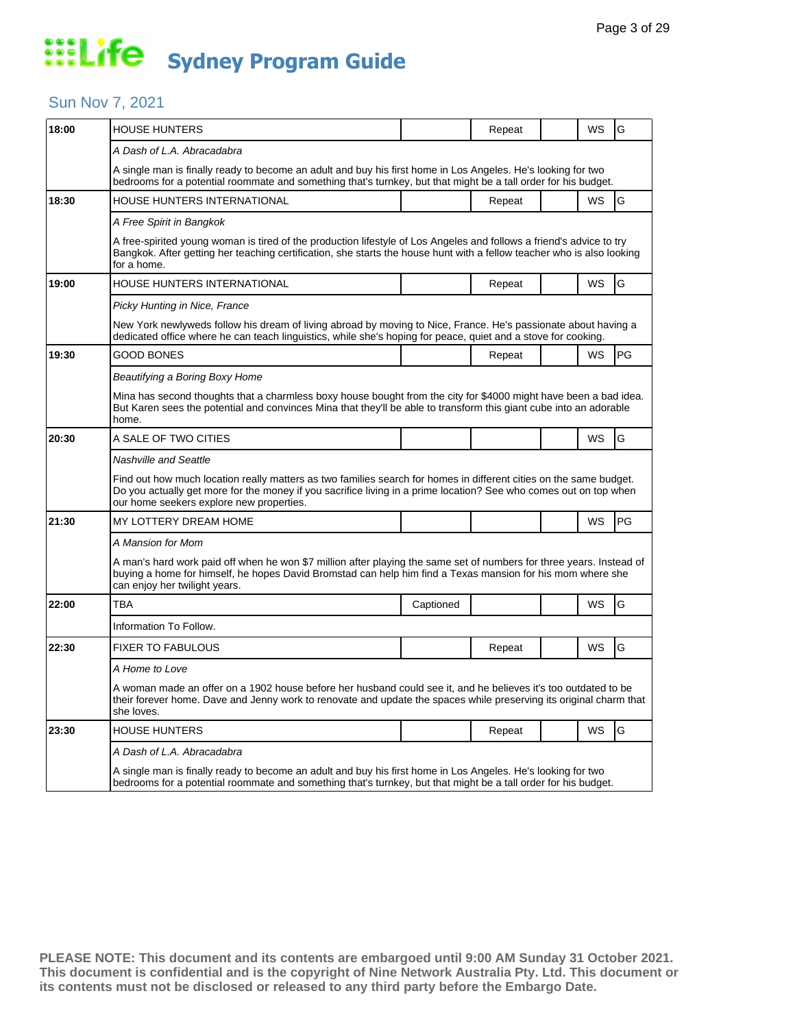### Sun Nov 7, 2021

| 18:00 | <b>HOUSE HUNTERS</b>                                                                                                                                                                                                                                                                |           | Repeat |  | WS        | G  |  |  |
|-------|-------------------------------------------------------------------------------------------------------------------------------------------------------------------------------------------------------------------------------------------------------------------------------------|-----------|--------|--|-----------|----|--|--|
|       | A Dash of L.A. Abracadabra                                                                                                                                                                                                                                                          |           |        |  |           |    |  |  |
|       | A single man is finally ready to become an adult and buy his first home in Los Angeles. He's looking for two<br>bedrooms for a potential roommate and something that's turnkey, but that might be a tall order for his budget.                                                      |           |        |  |           |    |  |  |
| 18:30 | HOUSE HUNTERS INTERNATIONAL                                                                                                                                                                                                                                                         |           | Repeat |  | <b>WS</b> | G  |  |  |
|       | A Free Spirit in Bangkok                                                                                                                                                                                                                                                            |           |        |  |           |    |  |  |
|       | A free-spirited young woman is tired of the production lifestyle of Los Angeles and follows a friend's advice to try<br>Bangkok. After getting her teaching certification, she starts the house hunt with a fellow teacher who is also looking<br>for a home.                       |           |        |  |           |    |  |  |
| 19:00 | <b>HOUSE HUNTERS INTERNATIONAL</b>                                                                                                                                                                                                                                                  |           | Repeat |  | WS        | G  |  |  |
|       | Picky Hunting in Nice, France                                                                                                                                                                                                                                                       |           |        |  |           |    |  |  |
|       | New York newlyweds follow his dream of living abroad by moving to Nice, France. He's passionate about having a<br>dedicated office where he can teach linguistics, while she's hoping for peace, quiet and a stove for cooking.                                                     |           |        |  |           |    |  |  |
| 19:30 | <b>GOOD BONES</b>                                                                                                                                                                                                                                                                   |           | Repeat |  | WS        | PG |  |  |
|       | Beautifying a Boring Boxy Home                                                                                                                                                                                                                                                      |           |        |  |           |    |  |  |
|       | Mina has second thoughts that a charmless boxy house bought from the city for \$4000 might have been a bad idea.<br>But Karen sees the potential and convinces Mina that they'll be able to transform this giant cube into an adorable<br>home.                                     |           |        |  |           |    |  |  |
| 20:30 | A SALE OF TWO CITIES                                                                                                                                                                                                                                                                |           |        |  | <b>WS</b> | G  |  |  |
|       | <b>Nashville and Seattle</b>                                                                                                                                                                                                                                                        |           |        |  |           |    |  |  |
|       | Find out how much location really matters as two families search for homes in different cities on the same budget.<br>Do you actually get more for the money if you sacrifice living in a prime location? See who comes out on top when<br>our home seekers explore new properties. |           |        |  |           |    |  |  |
| 21:30 | MY LOTTERY DREAM HOME                                                                                                                                                                                                                                                               |           |        |  | WS        | PG |  |  |
|       | A Mansion for Mom                                                                                                                                                                                                                                                                   |           |        |  |           |    |  |  |
|       | A man's hard work paid off when he won \$7 million after playing the same set of numbers for three years. Instead of<br>buying a home for himself, he hopes David Bromstad can help him find a Texas mansion for his mom where she<br>can enjoy her twilight years.                 |           |        |  |           |    |  |  |
| 22:00 | TBA                                                                                                                                                                                                                                                                                 | Captioned |        |  | WS        | G  |  |  |
|       | Information To Follow.                                                                                                                                                                                                                                                              |           |        |  |           |    |  |  |
| 22:30 | <b>FIXER TO FABULOUS</b>                                                                                                                                                                                                                                                            |           | Repeat |  | WS        | G  |  |  |
|       | A Home to Love                                                                                                                                                                                                                                                                      |           |        |  |           |    |  |  |
|       | A woman made an offer on a 1902 house before her husband could see it, and he believes it's too outdated to be<br>their forever home. Dave and Jenny work to renovate and update the spaces while preserving its original charm that<br>she loves.                                  |           |        |  |           |    |  |  |
| 23:30 | HOUSE HUNTERS                                                                                                                                                                                                                                                                       |           | Repeat |  | WS        | G  |  |  |
|       | A Dash of L.A. Abracadabra                                                                                                                                                                                                                                                          |           |        |  |           |    |  |  |
|       | A single man is finally ready to become an adult and buy his first home in Los Angeles. He's looking for two<br>bedrooms for a potential roommate and something that's turnkey, but that might be a tall order for his budget.                                                      |           |        |  |           |    |  |  |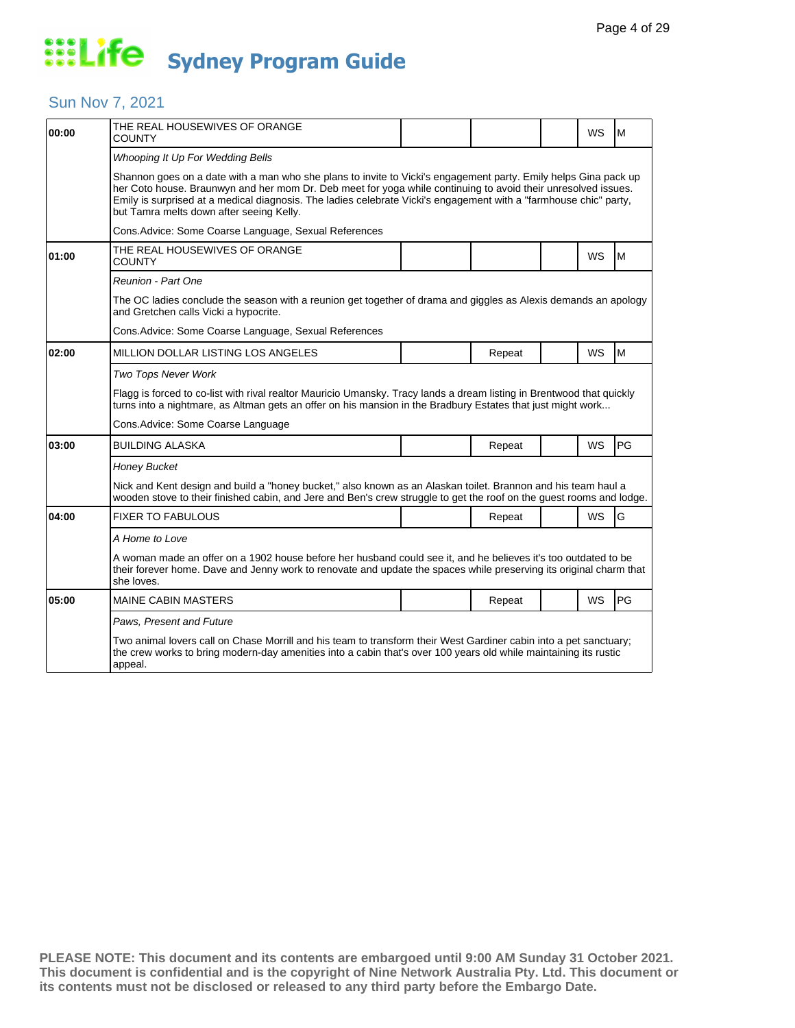### Sun Nov 7, 2021

| 00:00 | THE REAL HOUSEWIVES OF ORANGE<br>COUNTY                                                                                                                                                                                                                                                                                                                                                           |  |        |  | WS        | м  |  |  |  |
|-------|---------------------------------------------------------------------------------------------------------------------------------------------------------------------------------------------------------------------------------------------------------------------------------------------------------------------------------------------------------------------------------------------------|--|--------|--|-----------|----|--|--|--|
|       | Whooping It Up For Wedding Bells                                                                                                                                                                                                                                                                                                                                                                  |  |        |  |           |    |  |  |  |
|       | Shannon goes on a date with a man who she plans to invite to Vicki's engagement party. Emily helps Gina pack up<br>her Coto house. Braunwyn and her mom Dr. Deb meet for yoga while continuing to avoid their unresolved issues.<br>Emily is surprised at a medical diagnosis. The ladies celebrate Vicki's engagement with a "farmhouse chic" party,<br>but Tamra melts down after seeing Kelly. |  |        |  |           |    |  |  |  |
|       | Cons.Advice: Some Coarse Language, Sexual References                                                                                                                                                                                                                                                                                                                                              |  |        |  |           |    |  |  |  |
| 01:00 | THE REAL HOUSEWIVES OF ORANGE<br>COUNTY                                                                                                                                                                                                                                                                                                                                                           |  |        |  | WS        | M  |  |  |  |
|       | Reunion - Part One                                                                                                                                                                                                                                                                                                                                                                                |  |        |  |           |    |  |  |  |
|       | The OC ladies conclude the season with a reunion get together of drama and giggles as Alexis demands an apology<br>and Gretchen calls Vicki a hypocrite.                                                                                                                                                                                                                                          |  |        |  |           |    |  |  |  |
|       | Cons. Advice: Some Coarse Language, Sexual References                                                                                                                                                                                                                                                                                                                                             |  |        |  |           |    |  |  |  |
| 02:00 | MILLION DOLLAR LISTING LOS ANGELES                                                                                                                                                                                                                                                                                                                                                                |  | Repeat |  | <b>WS</b> | M  |  |  |  |
|       | <b>Two Tops Never Work</b>                                                                                                                                                                                                                                                                                                                                                                        |  |        |  |           |    |  |  |  |
|       | Flagg is forced to co-list with rival realtor Mauricio Umansky. Tracy lands a dream listing in Brentwood that quickly<br>turns into a nightmare, as Altman gets an offer on his mansion in the Bradbury Estates that just might work                                                                                                                                                              |  |        |  |           |    |  |  |  |
|       | Cons.Advice: Some Coarse Language                                                                                                                                                                                                                                                                                                                                                                 |  |        |  |           |    |  |  |  |
| 03:00 | BUILDING ALASKA                                                                                                                                                                                                                                                                                                                                                                                   |  | Repeat |  | <b>WS</b> | PG |  |  |  |
|       | <b>Honey Bucket</b>                                                                                                                                                                                                                                                                                                                                                                               |  |        |  |           |    |  |  |  |
|       | Nick and Kent design and build a "honey bucket," also known as an Alaskan toilet. Brannon and his team haul a<br>wooden stove to their finished cabin, and Jere and Ben's crew struggle to get the roof on the guest rooms and lodge.                                                                                                                                                             |  |        |  |           |    |  |  |  |
| 04:00 | <b>FIXER TO FABULOUS</b>                                                                                                                                                                                                                                                                                                                                                                          |  | Repeat |  | <b>WS</b> | G  |  |  |  |
|       | A Home to Love                                                                                                                                                                                                                                                                                                                                                                                    |  |        |  |           |    |  |  |  |
|       | A woman made an offer on a 1902 house before her husband could see it, and he believes it's too outdated to be<br>their forever home. Dave and Jenny work to renovate and update the spaces while preserving its original charm that<br>she loves.                                                                                                                                                |  |        |  |           |    |  |  |  |
| 05:00 | <b>MAINE CABIN MASTERS</b>                                                                                                                                                                                                                                                                                                                                                                        |  | Repeat |  | <b>WS</b> | PG |  |  |  |
|       | Paws, Present and Future                                                                                                                                                                                                                                                                                                                                                                          |  |        |  |           |    |  |  |  |
|       | Two animal lovers call on Chase Morrill and his team to transform their West Gardiner cabin into a pet sanctuary;<br>the crew works to bring modern-day amenities into a cabin that's over 100 years old while maintaining its rustic<br>appeal.                                                                                                                                                  |  |        |  |           |    |  |  |  |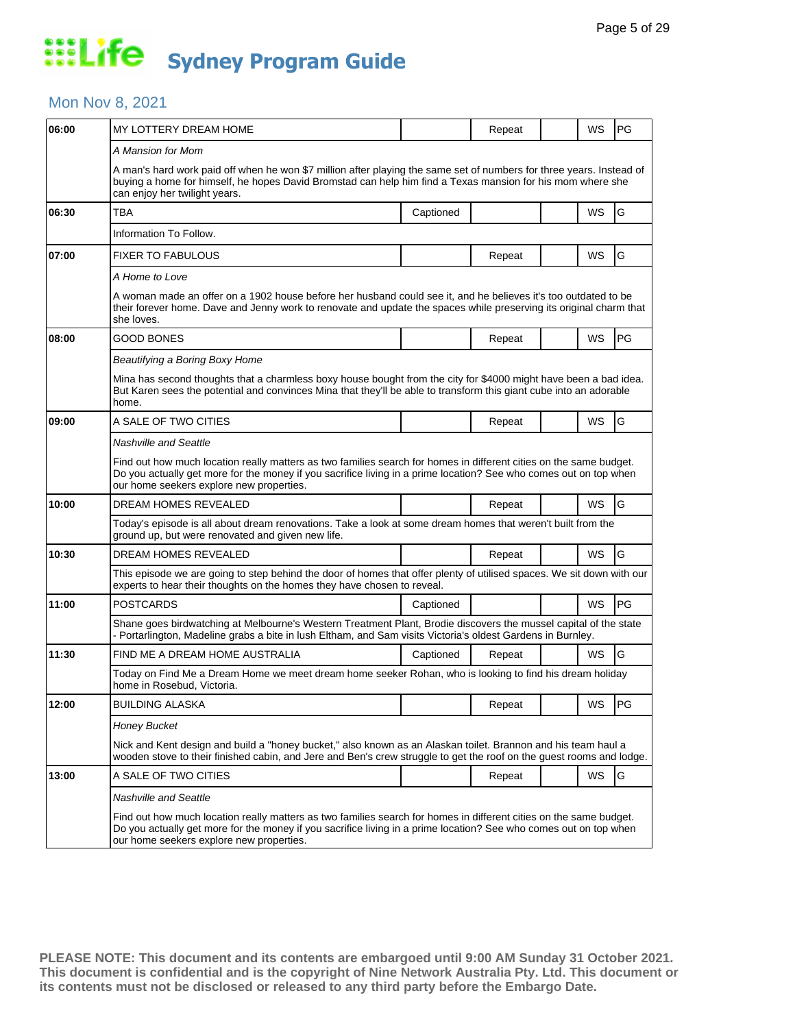### Mon Nov 8, 2021

| 06:00 | MY LOTTERY DREAM HOME                                                                                                                                                                                                                                                               |           | Repeat |  | WS        | PG         |  |  |
|-------|-------------------------------------------------------------------------------------------------------------------------------------------------------------------------------------------------------------------------------------------------------------------------------------|-----------|--------|--|-----------|------------|--|--|
|       | A Mansion for Mom                                                                                                                                                                                                                                                                   |           |        |  |           |            |  |  |
|       | A man's hard work paid off when he won \$7 million after playing the same set of numbers for three years. Instead of<br>buying a home for himself, he hopes David Bromstad can help him find a Texas mansion for his mom where she<br>can enjoy her twilight years.                 |           |        |  |           |            |  |  |
| 06:30 | TBA                                                                                                                                                                                                                                                                                 | Captioned |        |  | WS        | G          |  |  |
|       | Information To Follow.                                                                                                                                                                                                                                                              |           |        |  |           |            |  |  |
| 07:00 | <b>FIXER TO FABULOUS</b>                                                                                                                                                                                                                                                            |           | Repeat |  | WS        | G          |  |  |
|       | A Home to Love                                                                                                                                                                                                                                                                      |           |        |  |           |            |  |  |
|       | A woman made an offer on a 1902 house before her husband could see it, and he believes it's too outdated to be<br>their forever home. Dave and Jenny work to renovate and update the spaces while preserving its original charm that<br>she loves.                                  |           |        |  |           |            |  |  |
| 08:00 | GOOD BONES                                                                                                                                                                                                                                                                          |           | Repeat |  | WS        | PG         |  |  |
|       | Beautifying a Boring Boxy Home                                                                                                                                                                                                                                                      |           |        |  |           |            |  |  |
|       | Mina has second thoughts that a charmless boxy house bought from the city for \$4000 might have been a bad idea.<br>But Karen sees the potential and convinces Mina that they'll be able to transform this giant cube into an adorable<br>home.                                     |           |        |  |           |            |  |  |
| 09:00 | A SALE OF TWO CITIES                                                                                                                                                                                                                                                                |           | Repeat |  | WS        | G          |  |  |
|       | Nashville and Seattle                                                                                                                                                                                                                                                               |           |        |  |           |            |  |  |
|       | Find out how much location really matters as two families search for homes in different cities on the same budget.<br>Do you actually get more for the money if you sacrifice living in a prime location? See who comes out on top when<br>our home seekers explore new properties. |           |        |  |           |            |  |  |
| 10:00 | DREAM HOMES REVEALED                                                                                                                                                                                                                                                                |           | Repeat |  | WS        | G          |  |  |
|       | Today's episode is all about dream renovations. Take a look at some dream homes that weren't built from the<br>ground up, but were renovated and given new life.                                                                                                                    |           |        |  |           |            |  |  |
| 10:30 | DREAM HOMES REVEALED                                                                                                                                                                                                                                                                |           | Repeat |  | WS        | G          |  |  |
|       | This episode we are going to step behind the door of homes that offer plenty of utilised spaces. We sit down with our<br>experts to hear their thoughts on the homes they have chosen to reveal.                                                                                    |           |        |  |           |            |  |  |
| 11:00 | <b>POSTCARDS</b>                                                                                                                                                                                                                                                                    | Captioned |        |  | WS        | PG         |  |  |
|       | Shane goes birdwatching at Melbourne's Western Treatment Plant, Brodie discovers the mussel capital of the state<br>- Portarlington, Madeline grabs a bite in lush Eltham, and Sam visits Victoria's oldest Gardens in Burnley.                                                     |           |        |  |           |            |  |  |
| 11:30 | FIND ME A DREAM HOME AUSTRALIA                                                                                                                                                                                                                                                      | Captioned | Repeat |  | WS        | G          |  |  |
|       | Today on Find Me a Dream Home we meet dream home seeker Rohan, who is looking to find his dream holiday<br>home in Rosebud, Victoria.                                                                                                                                               |           |        |  |           |            |  |  |
| 12:00 | <b>BUILDING ALASKA</b>                                                                                                                                                                                                                                                              |           | Repeat |  | WS        | <b>IPG</b> |  |  |
|       | <b>Honey Bucket</b>                                                                                                                                                                                                                                                                 |           |        |  |           |            |  |  |
|       | Nick and Kent design and build a "honey bucket," also known as an Alaskan toilet. Brannon and his team haul a<br>wooden stove to their finished cabin, and Jere and Ben's crew struggle to get the roof on the guest rooms and lodge.                                               |           |        |  |           |            |  |  |
| 13:00 | A SALE OF TWO CITIES                                                                                                                                                                                                                                                                |           | Repeat |  | <b>WS</b> | G          |  |  |
|       | <b>Nashville and Seattle</b>                                                                                                                                                                                                                                                        |           |        |  |           |            |  |  |
|       | Find out how much location really matters as two families search for homes in different cities on the same budget.<br>Do you actually get more for the money if you sacrifice living in a prime location? See who comes out on top when<br>our home seekers explore new properties. |           |        |  |           |            |  |  |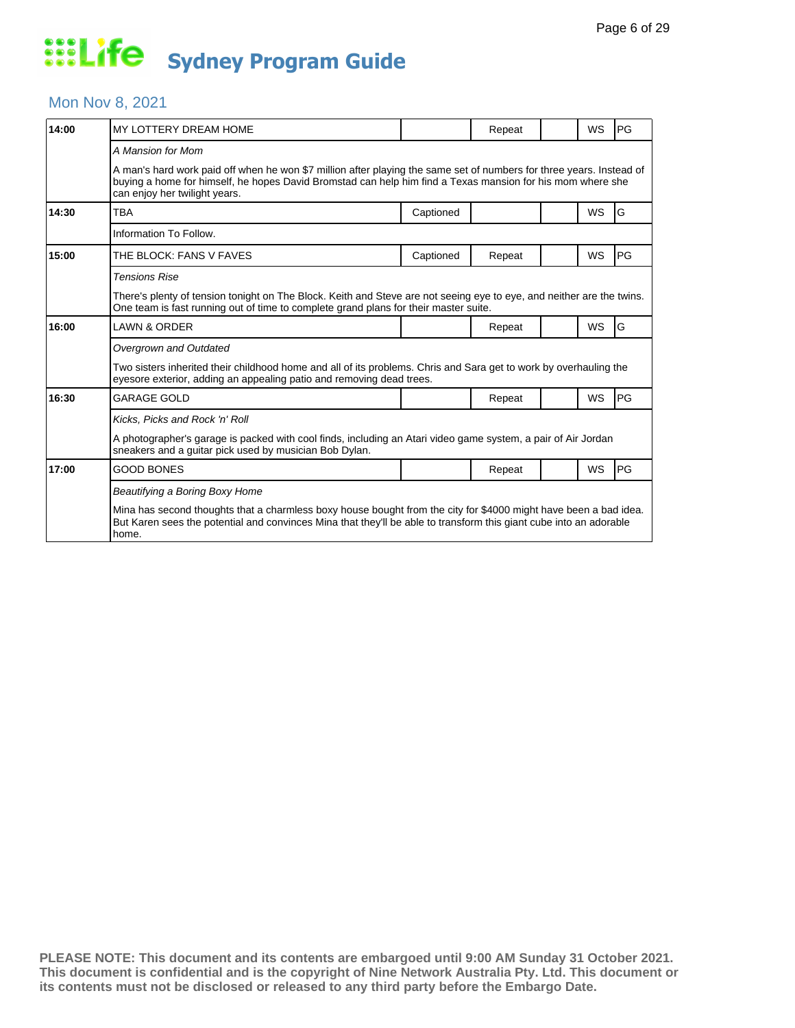### Mon Nov 8, 2021

| 14:00 | MY LOTTERY DREAM HOME                                                                                                                                                                                                                                               |           | Repeat |  | WS        | PG |  |
|-------|---------------------------------------------------------------------------------------------------------------------------------------------------------------------------------------------------------------------------------------------------------------------|-----------|--------|--|-----------|----|--|
|       | A Mansion for Mom                                                                                                                                                                                                                                                   |           |        |  |           |    |  |
|       | A man's hard work paid off when he won \$7 million after playing the same set of numbers for three years. Instead of<br>buying a home for himself, he hopes David Bromstad can help him find a Texas mansion for his mom where she<br>can enjoy her twilight years. |           |        |  |           |    |  |
| 14:30 | <b>TBA</b>                                                                                                                                                                                                                                                          | Captioned |        |  | <b>WS</b> | G  |  |
|       | Information To Follow.                                                                                                                                                                                                                                              |           |        |  |           |    |  |
| 15:00 | THE BLOCK: FANS V FAVES                                                                                                                                                                                                                                             | Captioned | Repeat |  | <b>WS</b> | PG |  |
|       | <b>Tensions Rise</b>                                                                                                                                                                                                                                                |           |        |  |           |    |  |
|       | There's plenty of tension tonight on The Block. Keith and Steve are not seeing eye to eye, and neither are the twins.<br>One team is fast running out of time to complete grand plans for their master suite.                                                       |           |        |  |           |    |  |
| 16:00 | LAWN & ORDER                                                                                                                                                                                                                                                        |           | Repeat |  | <b>WS</b> | G  |  |
|       | Overgrown and Outdated                                                                                                                                                                                                                                              |           |        |  |           |    |  |
|       | Two sisters inherited their childhood home and all of its problems. Chris and Sara get to work by overhauling the<br>eyesore exterior, adding an appealing patio and removing dead trees.                                                                           |           |        |  |           |    |  |
| 16:30 | <b>GARAGE GOLD</b>                                                                                                                                                                                                                                                  |           | Repeat |  | <b>WS</b> | PG |  |
|       | Kicks, Picks and Rock 'n' Roll                                                                                                                                                                                                                                      |           |        |  |           |    |  |
|       | A photographer's garage is packed with cool finds, including an Atari video game system, a pair of Air Jordan<br>sneakers and a guitar pick used by musician Bob Dylan.                                                                                             |           |        |  |           |    |  |
| 17:00 | <b>GOOD BONES</b>                                                                                                                                                                                                                                                   |           | Repeat |  | <b>WS</b> | PG |  |
|       | Beautifying a Boring Boxy Home                                                                                                                                                                                                                                      |           |        |  |           |    |  |
|       | Mina has second thoughts that a charmless boxy house bought from the city for \$4000 might have been a bad idea.<br>But Karen sees the potential and convinces Mina that they'll be able to transform this giant cube into an adorable<br>home.                     |           |        |  |           |    |  |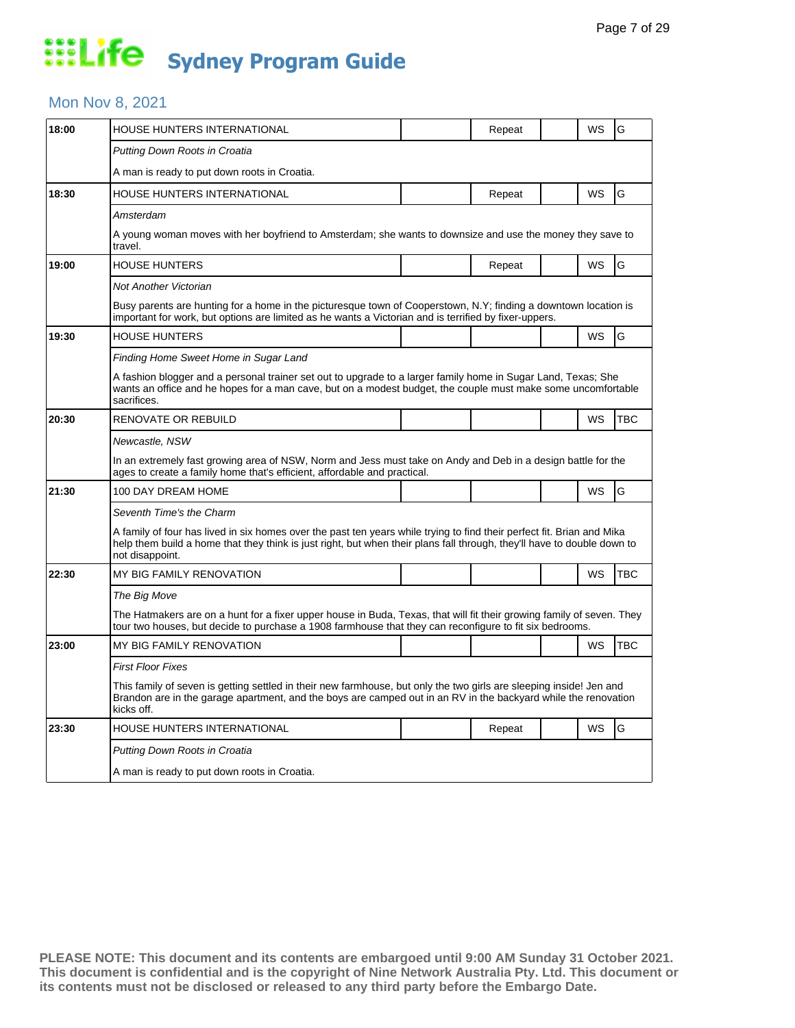### Mon Nov 8, 2021

| 18:00 |                                                                                                                                                                                                                                                                      |  |        |  |           |            |  |  |
|-------|----------------------------------------------------------------------------------------------------------------------------------------------------------------------------------------------------------------------------------------------------------------------|--|--------|--|-----------|------------|--|--|
|       | HOUSE HUNTERS INTERNATIONAL                                                                                                                                                                                                                                          |  | Repeat |  | WS        | G          |  |  |
|       | Putting Down Roots in Croatia                                                                                                                                                                                                                                        |  |        |  |           |            |  |  |
|       | A man is ready to put down roots in Croatia.                                                                                                                                                                                                                         |  |        |  |           |            |  |  |
| 18:30 | HOUSE HUNTERS INTERNATIONAL                                                                                                                                                                                                                                          |  | Repeat |  | WS        | G          |  |  |
|       | Amsterdam                                                                                                                                                                                                                                                            |  |        |  |           |            |  |  |
|       | A young woman moves with her boyfriend to Amsterdam; she wants to downsize and use the money they save to<br>travel.                                                                                                                                                 |  |        |  |           |            |  |  |
| 19:00 | <b>HOUSE HUNTERS</b>                                                                                                                                                                                                                                                 |  | Repeat |  | <b>WS</b> | G          |  |  |
|       | Not Another Victorian                                                                                                                                                                                                                                                |  |        |  |           |            |  |  |
|       | Busy parents are hunting for a home in the picturesque town of Cooperstown, N.Y; finding a downtown location is<br>important for work, but options are limited as he wants a Victorian and is terrified by fixer-uppers.                                             |  |        |  |           |            |  |  |
| 19:30 | <b>HOUSE HUNTERS</b>                                                                                                                                                                                                                                                 |  |        |  | <b>WS</b> | G          |  |  |
|       | Finding Home Sweet Home in Sugar Land                                                                                                                                                                                                                                |  |        |  |           |            |  |  |
|       | A fashion blogger and a personal trainer set out to upgrade to a larger family home in Sugar Land, Texas; She<br>wants an office and he hopes for a man cave, but on a modest budget, the couple must make some uncomfortable<br>sacrifices.                         |  |        |  |           |            |  |  |
| 20:30 | <b>RENOVATE OR REBUILD</b>                                                                                                                                                                                                                                           |  |        |  | WS        | <b>TBC</b> |  |  |
|       | Newcastle, NSW                                                                                                                                                                                                                                                       |  |        |  |           |            |  |  |
|       | In an extremely fast growing area of NSW, Norm and Jess must take on Andy and Deb in a design battle for the<br>ages to create a family home that's efficient, affordable and practical.                                                                             |  |        |  |           |            |  |  |
| 21:30 | 100 DAY DREAM HOME                                                                                                                                                                                                                                                   |  |        |  | WS        | G          |  |  |
|       | Seventh Time's the Charm                                                                                                                                                                                                                                             |  |        |  |           |            |  |  |
|       | A family of four has lived in six homes over the past ten years while trying to find their perfect fit. Brian and Mika<br>help them build a home that they think is just right, but when their plans fall through, they'll have to double down to<br>not disappoint. |  |        |  |           |            |  |  |
| 22:30 | MY BIG FAMILY RENOVATION                                                                                                                                                                                                                                             |  |        |  | WS        | <b>TBC</b> |  |  |
|       | The Big Move                                                                                                                                                                                                                                                         |  |        |  |           |            |  |  |
|       | The Hatmakers are on a hunt for a fixer upper house in Buda, Texas, that will fit their growing family of seven. They<br>tour two houses, but decide to purchase a 1908 farmhouse that they can reconfigure to fit six bedrooms.                                     |  |        |  |           |            |  |  |
| 23:00 | MY BIG FAMILY RENOVATION                                                                                                                                                                                                                                             |  |        |  | <b>WS</b> | <b>TBC</b> |  |  |
|       | <b>First Floor Fixes</b>                                                                                                                                                                                                                                             |  |        |  |           |            |  |  |
|       | This family of seven is getting settled in their new farmhouse, but only the two girls are sleeping inside! Jen and<br>Brandon are in the garage apartment, and the boys are camped out in an RV in the backyard while the renovation<br>kicks off.                  |  |        |  |           |            |  |  |
|       |                                                                                                                                                                                                                                                                      |  |        |  |           |            |  |  |
| 23:30 | HOUSE HUNTERS INTERNATIONAL                                                                                                                                                                                                                                          |  | Repeat |  | <b>WS</b> | G          |  |  |
|       | Putting Down Roots in Croatia                                                                                                                                                                                                                                        |  |        |  |           |            |  |  |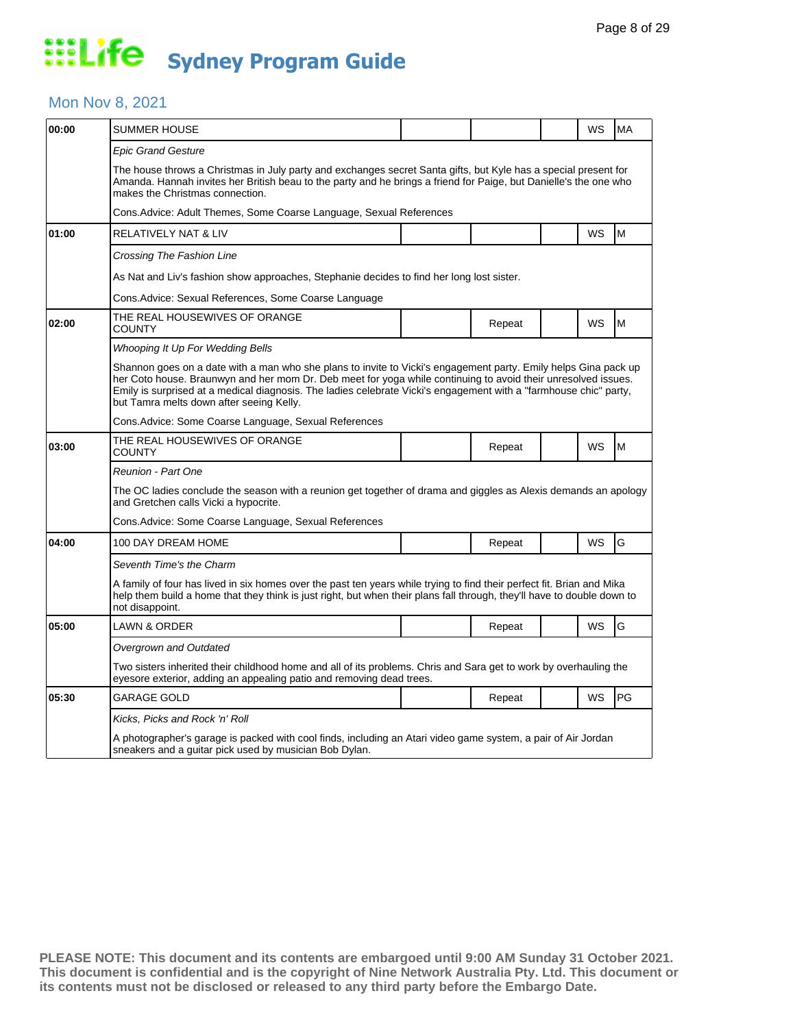### Mon Nov 8, 2021

| 00:00 | <b>SUMMER HOUSE</b>                                                                                                                                                                                                                                                                                                                                                                               |  |        |  | WS | MA |  |  |  |
|-------|---------------------------------------------------------------------------------------------------------------------------------------------------------------------------------------------------------------------------------------------------------------------------------------------------------------------------------------------------------------------------------------------------|--|--------|--|----|----|--|--|--|
|       | <b>Epic Grand Gesture</b>                                                                                                                                                                                                                                                                                                                                                                         |  |        |  |    |    |  |  |  |
|       | The house throws a Christmas in July party and exchanges secret Santa gifts, but Kyle has a special present for<br>Amanda. Hannah invites her British beau to the party and he brings a friend for Paige, but Danielle's the one who<br>makes the Christmas connection.                                                                                                                           |  |        |  |    |    |  |  |  |
|       | Cons.Advice: Adult Themes, Some Coarse Language, Sexual References                                                                                                                                                                                                                                                                                                                                |  |        |  |    |    |  |  |  |
| 01:00 | <b>RELATIVELY NAT &amp; LIV</b>                                                                                                                                                                                                                                                                                                                                                                   |  |        |  | WS | M  |  |  |  |
|       | Crossing The Fashion Line                                                                                                                                                                                                                                                                                                                                                                         |  |        |  |    |    |  |  |  |
|       | As Nat and Liv's fashion show approaches, Stephanie decides to find her long lost sister.                                                                                                                                                                                                                                                                                                         |  |        |  |    |    |  |  |  |
|       | Cons.Advice: Sexual References, Some Coarse Language                                                                                                                                                                                                                                                                                                                                              |  |        |  |    |    |  |  |  |
| 02:00 | THE REAL HOUSEWIVES OF ORANGE<br>COUNTY                                                                                                                                                                                                                                                                                                                                                           |  | Repeat |  | WS | M  |  |  |  |
|       | Whooping It Up For Wedding Bells                                                                                                                                                                                                                                                                                                                                                                  |  |        |  |    |    |  |  |  |
|       | Shannon goes on a date with a man who she plans to invite to Vicki's engagement party. Emily helps Gina pack up<br>her Coto house. Braunwyn and her mom Dr. Deb meet for yoga while continuing to avoid their unresolved issues.<br>Emily is surprised at a medical diagnosis. The ladies celebrate Vicki's engagement with a "farmhouse chic" party,<br>but Tamra melts down after seeing Kelly. |  |        |  |    |    |  |  |  |
|       | Cons. Advice: Some Coarse Language, Sexual References                                                                                                                                                                                                                                                                                                                                             |  |        |  |    |    |  |  |  |
| 03:00 | THE REAL HOUSEWIVES OF ORANGE<br>COUNTY                                                                                                                                                                                                                                                                                                                                                           |  | Repeat |  | WS | M  |  |  |  |
|       | <b>Reunion - Part One</b>                                                                                                                                                                                                                                                                                                                                                                         |  |        |  |    |    |  |  |  |
|       | The OC ladies conclude the season with a reunion get together of drama and giggles as Alexis demands an apology<br>and Gretchen calls Vicki a hypocrite.                                                                                                                                                                                                                                          |  |        |  |    |    |  |  |  |
|       | Cons. Advice: Some Coarse Language, Sexual References                                                                                                                                                                                                                                                                                                                                             |  |        |  |    |    |  |  |  |
| 04:00 | 100 DAY DREAM HOME                                                                                                                                                                                                                                                                                                                                                                                |  | Repeat |  | WS | G  |  |  |  |
|       | Seventh Time's the Charm                                                                                                                                                                                                                                                                                                                                                                          |  |        |  |    |    |  |  |  |
|       | A family of four has lived in six homes over the past ten years while trying to find their perfect fit. Brian and Mika<br>help them build a home that they think is just right, but when their plans fall through, they'll have to double down to<br>not disappoint.                                                                                                                              |  |        |  |    |    |  |  |  |
| 05:00 | LAWN & ORDER                                                                                                                                                                                                                                                                                                                                                                                      |  | Repeat |  | WS | G  |  |  |  |
|       | Overgrown and Outdated                                                                                                                                                                                                                                                                                                                                                                            |  |        |  |    |    |  |  |  |
|       | Two sisters inherited their childhood home and all of its problems. Chris and Sara get to work by overhauling the<br>eyesore exterior, adding an appealing patio and removing dead trees.                                                                                                                                                                                                         |  |        |  |    |    |  |  |  |
| 05:30 | <b>GARAGE GOLD</b>                                                                                                                                                                                                                                                                                                                                                                                |  | Repeat |  | WS | PG |  |  |  |
|       | Kicks, Picks and Rock 'n' Roll                                                                                                                                                                                                                                                                                                                                                                    |  |        |  |    |    |  |  |  |
|       | A photographer's garage is packed with cool finds, including an Atari video game system, a pair of Air Jordan<br>sneakers and a guitar pick used by musician Bob Dylan.                                                                                                                                                                                                                           |  |        |  |    |    |  |  |  |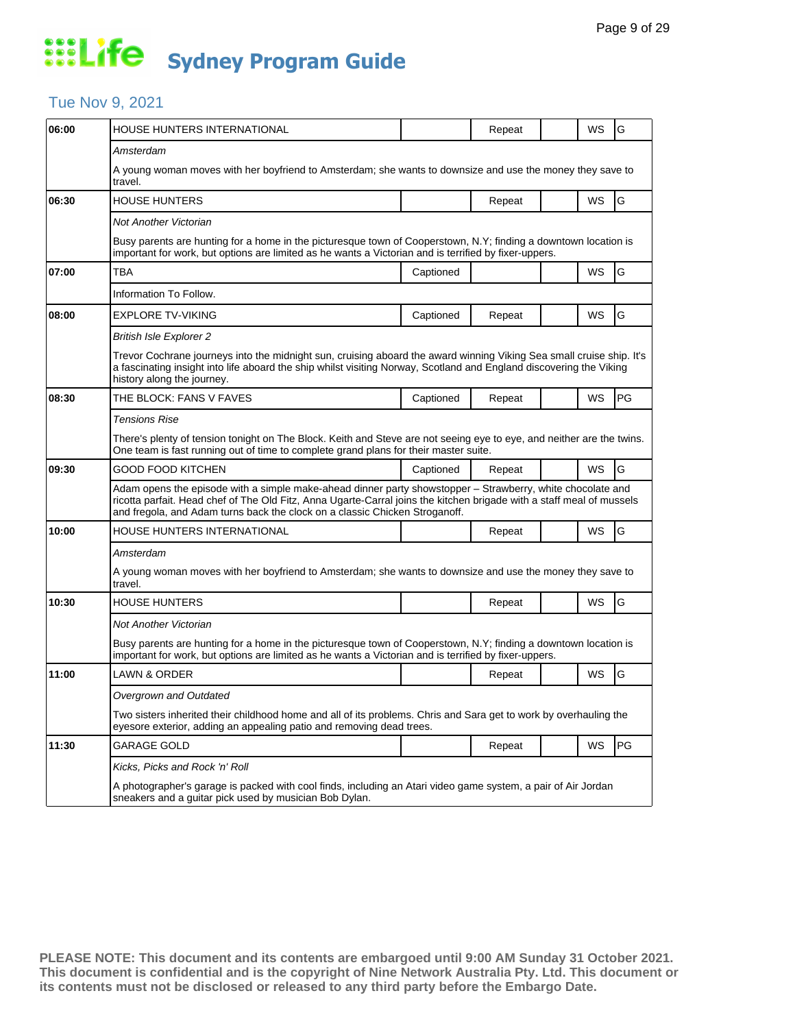### Tue Nov 9, 2021

| 06:00 | HOUSE HUNTERS INTERNATIONAL                                                                                                                                                                                                                                                                                        |           | Repeat | WS        | G  |  |  |  |
|-------|--------------------------------------------------------------------------------------------------------------------------------------------------------------------------------------------------------------------------------------------------------------------------------------------------------------------|-----------|--------|-----------|----|--|--|--|
|       | Amsterdam                                                                                                                                                                                                                                                                                                          |           |        |           |    |  |  |  |
|       | A young woman moves with her boyfriend to Amsterdam; she wants to downsize and use the money they save to<br>travel.                                                                                                                                                                                               |           |        |           |    |  |  |  |
| 06:30 | <b>HOUSE HUNTERS</b>                                                                                                                                                                                                                                                                                               |           | Repeat | WS        | G  |  |  |  |
|       | Not Another Victorian                                                                                                                                                                                                                                                                                              |           |        |           |    |  |  |  |
|       | Busy parents are hunting for a home in the picturesque town of Cooperstown, N.Y; finding a downtown location is<br>important for work, but options are limited as he wants a Victorian and is terrified by fixer-uppers.                                                                                           |           |        |           |    |  |  |  |
| 07:00 | ТВА                                                                                                                                                                                                                                                                                                                | Captioned |        | WS        | G  |  |  |  |
|       | Information To Follow.                                                                                                                                                                                                                                                                                             |           |        |           |    |  |  |  |
| 08:00 | <b>EXPLORE TV-VIKING</b>                                                                                                                                                                                                                                                                                           | Captioned | Repeat | <b>WS</b> | G  |  |  |  |
|       | <b>British Isle Explorer 2</b>                                                                                                                                                                                                                                                                                     |           |        |           |    |  |  |  |
|       | Trevor Cochrane journeys into the midnight sun, cruising aboard the award winning Viking Sea small cruise ship. It's<br>a fascinating insight into life aboard the ship whilst visiting Norway, Scotland and England discovering the Viking<br>history along the journey.                                          |           |        |           |    |  |  |  |
| 08:30 | THE BLOCK: FANS V FAVES                                                                                                                                                                                                                                                                                            | Captioned | Repeat | WS        | PG |  |  |  |
|       | <b>Tensions Rise</b>                                                                                                                                                                                                                                                                                               |           |        |           |    |  |  |  |
|       | There's plenty of tension tonight on The Block. Keith and Steve are not seeing eye to eye, and neither are the twins.<br>One team is fast running out of time to complete grand plans for their master suite.                                                                                                      |           |        |           |    |  |  |  |
| 09:30 | GOOD FOOD KITCHEN                                                                                                                                                                                                                                                                                                  | Captioned | Repeat | WS        | G  |  |  |  |
|       | Adam opens the episode with a simple make-ahead dinner party showstopper - Strawberry, white chocolate and<br>ricotta parfait. Head chef of The Old Fitz, Anna Ugarte-Carral joins the kitchen brigade with a staff meal of mussels<br>and fregola, and Adam turns back the clock on a classic Chicken Stroganoff. |           |        |           |    |  |  |  |
| 10:00 | HOUSE HUNTERS INTERNATIONAL                                                                                                                                                                                                                                                                                        |           | Repeat | <b>WS</b> | G  |  |  |  |
|       | Amsterdam                                                                                                                                                                                                                                                                                                          |           |        |           |    |  |  |  |
|       | A young woman moves with her boyfriend to Amsterdam; she wants to downsize and use the money they save to<br>travel.                                                                                                                                                                                               |           |        |           |    |  |  |  |
| 10:30 | <b>HOUSE HUNTERS</b>                                                                                                                                                                                                                                                                                               |           | Repeat | <b>WS</b> | G  |  |  |  |
|       | Not Another Victorian                                                                                                                                                                                                                                                                                              |           |        |           |    |  |  |  |
|       | Busy parents are hunting for a home in the picturesque town of Cooperstown, N.Y; finding a downtown location is<br>important for work, but options are limited as he wants a Victorian and is terrified by fixer-uppers.                                                                                           |           |        |           |    |  |  |  |
| 11:00 | <b>LAWN &amp; ORDER</b>                                                                                                                                                                                                                                                                                            |           | Repeat | WS        | G  |  |  |  |
|       | Overgrown and Outdated                                                                                                                                                                                                                                                                                             |           |        |           |    |  |  |  |
|       | Two sisters inherited their childhood home and all of its problems. Chris and Sara get to work by overhauling the<br>eyesore exterior, adding an appealing patio and removing dead trees.                                                                                                                          |           |        |           |    |  |  |  |
| 11:30 | GARAGE GOLD                                                                                                                                                                                                                                                                                                        |           | Repeat | WS        | PG |  |  |  |
|       | Kicks, Picks and Rock 'n' Roll                                                                                                                                                                                                                                                                                     |           |        |           |    |  |  |  |
|       | A photographer's garage is packed with cool finds, including an Atari video game system, a pair of Air Jordan<br>sneakers and a guitar pick used by musician Bob Dylan.                                                                                                                                            |           |        |           |    |  |  |  |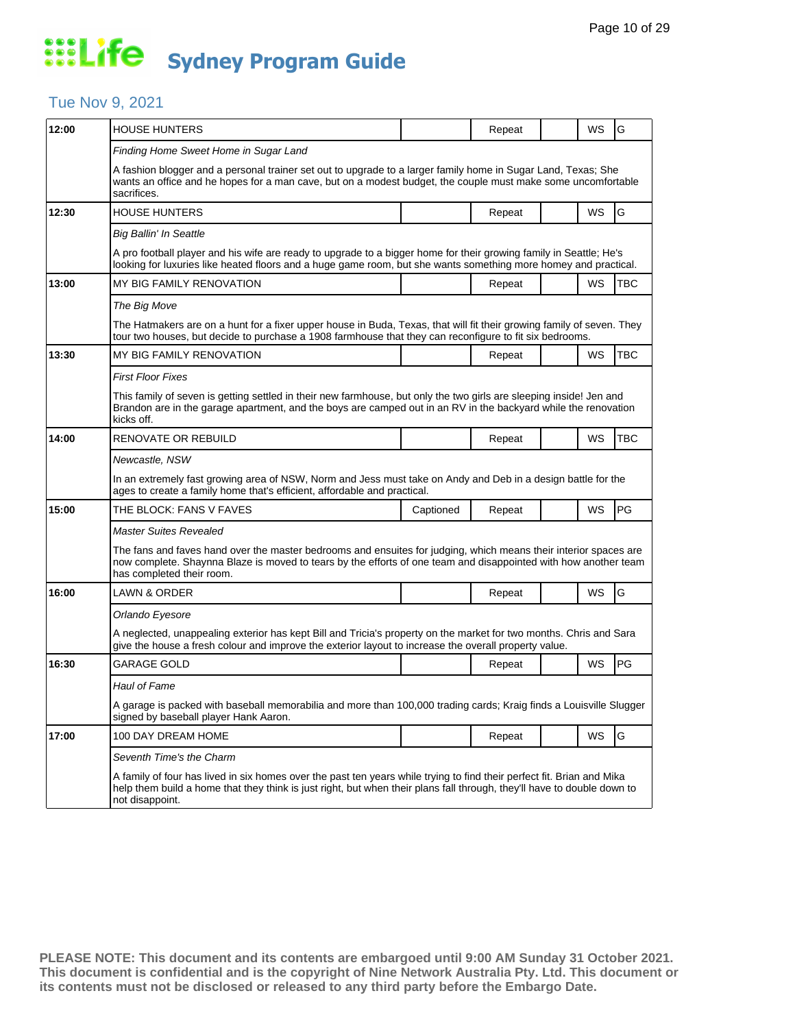### Tue Nov 9, 2021

| 12:00 | <b>HOUSE HUNTERS</b>                                                                                                                                                                                                                                                 |           | Repeat |  | WS        | G          |  |  |
|-------|----------------------------------------------------------------------------------------------------------------------------------------------------------------------------------------------------------------------------------------------------------------------|-----------|--------|--|-----------|------------|--|--|
|       | Finding Home Sweet Home in Sugar Land                                                                                                                                                                                                                                |           |        |  |           |            |  |  |
|       | A fashion blogger and a personal trainer set out to upgrade to a larger family home in Sugar Land, Texas; She<br>wants an office and he hopes for a man cave, but on a modest budget, the couple must make some uncomfortable<br>sacrifices.                         |           |        |  |           |            |  |  |
| 12:30 | <b>HOUSE HUNTERS</b>                                                                                                                                                                                                                                                 |           | Repeat |  | WS        | G          |  |  |
|       | <b>Big Ballin' In Seattle</b>                                                                                                                                                                                                                                        |           |        |  |           |            |  |  |
|       | A pro football player and his wife are ready to upgrade to a bigger home for their growing family in Seattle; He's<br>looking for luxuries like heated floors and a huge game room, but she wants something more homey and practical.                                |           |        |  |           |            |  |  |
| 13:00 | MY BIG FAMILY RENOVATION                                                                                                                                                                                                                                             |           | Repeat |  | WS        | TBC        |  |  |
|       | The Big Move                                                                                                                                                                                                                                                         |           |        |  |           |            |  |  |
|       | The Hatmakers are on a hunt for a fixer upper house in Buda, Texas, that will fit their growing family of seven. They<br>tour two houses, but decide to purchase a 1908 farmhouse that they can reconfigure to fit six bedrooms.                                     |           |        |  |           |            |  |  |
| 13:30 | MY BIG FAMILY RENOVATION                                                                                                                                                                                                                                             |           | Repeat |  | WS        | <b>TBC</b> |  |  |
|       | <b>First Floor Fixes</b>                                                                                                                                                                                                                                             |           |        |  |           |            |  |  |
|       | This family of seven is getting settled in their new farmhouse, but only the two girls are sleeping inside! Jen and<br>Brandon are in the garage apartment, and the boys are camped out in an RV in the backyard while the renovation<br>kicks off.                  |           |        |  |           |            |  |  |
| 14:00 | RENOVATE OR REBUILD                                                                                                                                                                                                                                                  |           | Repeat |  | WS        | <b>TBC</b> |  |  |
|       | Newcastle, NSW                                                                                                                                                                                                                                                       |           |        |  |           |            |  |  |
|       | In an extremely fast growing area of NSW, Norm and Jess must take on Andy and Deb in a design battle for the<br>ages to create a family home that's efficient, affordable and practical.                                                                             |           |        |  |           |            |  |  |
| 15:00 | THE BLOCK: FANS V FAVES                                                                                                                                                                                                                                              | Captioned | Repeat |  | WS        | PG         |  |  |
|       | Master Suites Revealed                                                                                                                                                                                                                                               |           |        |  |           |            |  |  |
|       | The fans and faves hand over the master bedrooms and ensuites for judging, which means their interior spaces are<br>now complete. Shaynna Blaze is moved to tears by the efforts of one team and disappointed with how another team<br>has completed their room.     |           |        |  |           |            |  |  |
| 16:00 | LAWN & ORDER                                                                                                                                                                                                                                                         |           | Repeat |  | WS        | G          |  |  |
|       | Orlando Eyesore                                                                                                                                                                                                                                                      |           |        |  |           |            |  |  |
|       | A neglected, unappealing exterior has kept Bill and Tricia's property on the market for two months. Chris and Sara<br>give the house a fresh colour and improve the exterior layout to increase the overall property value.                                          |           |        |  |           |            |  |  |
| 16:30 | GARAGE GOLD                                                                                                                                                                                                                                                          |           | Repeat |  | WS        | PG         |  |  |
|       | <b>Haul of Fame</b>                                                                                                                                                                                                                                                  |           |        |  |           |            |  |  |
|       | A garage is packed with baseball memorabilia and more than 100,000 trading cards; Kraig finds a Louisville Slugger<br>signed by baseball player Hank Aaron.                                                                                                          |           |        |  |           |            |  |  |
| 17:00 | 100 DAY DREAM HOME                                                                                                                                                                                                                                                   |           | Repeat |  | <b>WS</b> | G          |  |  |
|       | Seventh Time's the Charm                                                                                                                                                                                                                                             |           |        |  |           |            |  |  |
|       | A family of four has lived in six homes over the past ten years while trying to find their perfect fit. Brian and Mika<br>help them build a home that they think is just right, but when their plans fall through, they'll have to double down to<br>not disappoint. |           |        |  |           |            |  |  |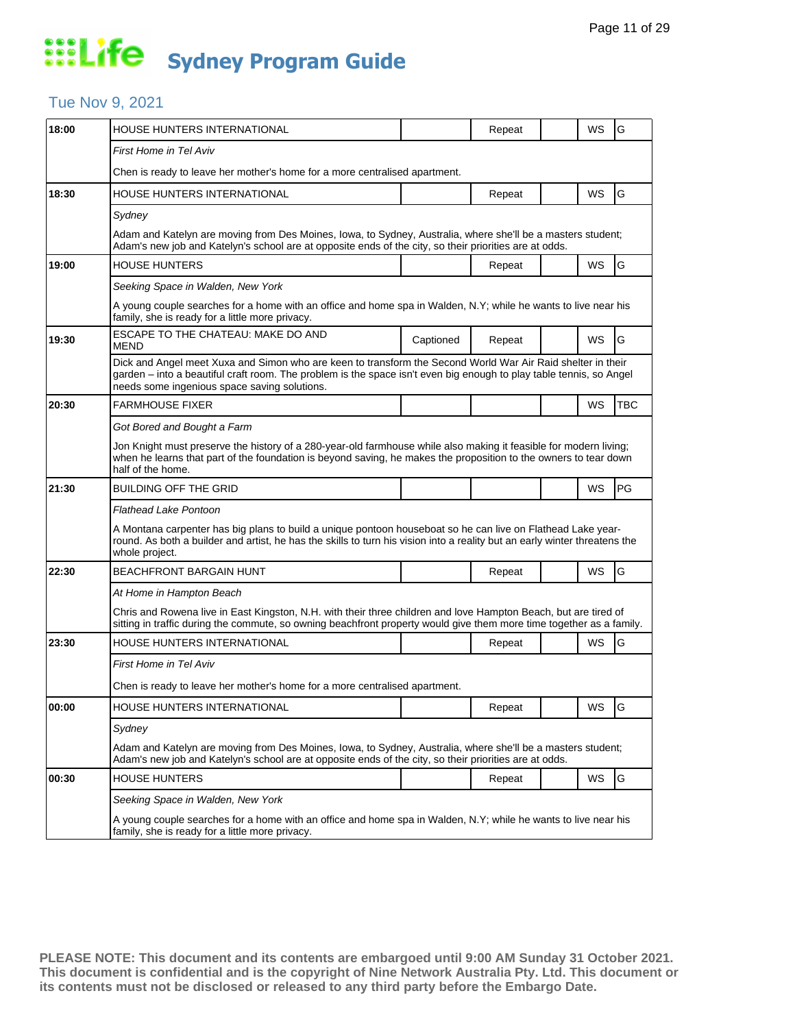### Tue Nov 9, 2021

| HOUSE HUNTERS INTERNATIONAL                                                                                                                                                                                                                                                        |           | Repeat |  | WS                                                                                                     | G                                                                                                                                                                                                                                                                                                                                                                                                                                                                      |  |  |  |
|------------------------------------------------------------------------------------------------------------------------------------------------------------------------------------------------------------------------------------------------------------------------------------|-----------|--------|--|--------------------------------------------------------------------------------------------------------|------------------------------------------------------------------------------------------------------------------------------------------------------------------------------------------------------------------------------------------------------------------------------------------------------------------------------------------------------------------------------------------------------------------------------------------------------------------------|--|--|--|
| <b>First Home in Tel Aviv</b>                                                                                                                                                                                                                                                      |           |        |  |                                                                                                        |                                                                                                                                                                                                                                                                                                                                                                                                                                                                        |  |  |  |
| Chen is ready to leave her mother's home for a more centralised apartment.                                                                                                                                                                                                         |           |        |  |                                                                                                        |                                                                                                                                                                                                                                                                                                                                                                                                                                                                        |  |  |  |
| HOUSE HUNTERS INTERNATIONAL                                                                                                                                                                                                                                                        |           | Repeat |  | WS                                                                                                     | G                                                                                                                                                                                                                                                                                                                                                                                                                                                                      |  |  |  |
| Sydney                                                                                                                                                                                                                                                                             |           |        |  |                                                                                                        |                                                                                                                                                                                                                                                                                                                                                                                                                                                                        |  |  |  |
|                                                                                                                                                                                                                                                                                    |           |        |  |                                                                                                        |                                                                                                                                                                                                                                                                                                                                                                                                                                                                        |  |  |  |
| <b>HOUSE HUNTERS</b>                                                                                                                                                                                                                                                               |           | Repeat |  | WS                                                                                                     | G                                                                                                                                                                                                                                                                                                                                                                                                                                                                      |  |  |  |
| Seeking Space in Walden, New York                                                                                                                                                                                                                                                  |           |        |  |                                                                                                        |                                                                                                                                                                                                                                                                                                                                                                                                                                                                        |  |  |  |
| family, she is ready for a little more privacy.                                                                                                                                                                                                                                    |           |        |  |                                                                                                        |                                                                                                                                                                                                                                                                                                                                                                                                                                                                        |  |  |  |
| ESCAPE TO THE CHATEAU: MAKE DO AND<br>MEND                                                                                                                                                                                                                                         | Captioned | Repeat |  | <b>WS</b>                                                                                              | G                                                                                                                                                                                                                                                                                                                                                                                                                                                                      |  |  |  |
| Dick and Angel meet Xuxa and Simon who are keen to transform the Second World War Air Raid shelter in their<br>garden – into a beautiful craft room. The problem is the space isn't even big enough to play table tennis, so Angel<br>needs some ingenious space saving solutions. |           |        |  |                                                                                                        |                                                                                                                                                                                                                                                                                                                                                                                                                                                                        |  |  |  |
| <b>FARMHOUSE FIXER</b>                                                                                                                                                                                                                                                             |           |        |  | WS                                                                                                     | <b>TBC</b>                                                                                                                                                                                                                                                                                                                                                                                                                                                             |  |  |  |
| Got Bored and Bought a Farm                                                                                                                                                                                                                                                        |           |        |  |                                                                                                        |                                                                                                                                                                                                                                                                                                                                                                                                                                                                        |  |  |  |
| half of the home.                                                                                                                                                                                                                                                                  |           |        |  |                                                                                                        |                                                                                                                                                                                                                                                                                                                                                                                                                                                                        |  |  |  |
| <b>BUILDING OFF THE GRID</b>                                                                                                                                                                                                                                                       |           |        |  | WS                                                                                                     | <b>PG</b>                                                                                                                                                                                                                                                                                                                                                                                                                                                              |  |  |  |
| Flathead Lake Pontoon                                                                                                                                                                                                                                                              |           |        |  |                                                                                                        |                                                                                                                                                                                                                                                                                                                                                                                                                                                                        |  |  |  |
| A Montana carpenter has big plans to build a unique pontoon houseboat so he can live on Flathead Lake year-<br>round. As both a builder and artist, he has the skills to turn his vision into a reality but an early winter threatens the<br>whole project.                        |           |        |  |                                                                                                        |                                                                                                                                                                                                                                                                                                                                                                                                                                                                        |  |  |  |
| <b>BEACHFRONT BARGAIN HUNT</b>                                                                                                                                                                                                                                                     |           | Repeat |  | WS                                                                                                     | G                                                                                                                                                                                                                                                                                                                                                                                                                                                                      |  |  |  |
| At Home in Hampton Beach                                                                                                                                                                                                                                                           |           |        |  |                                                                                                        |                                                                                                                                                                                                                                                                                                                                                                                                                                                                        |  |  |  |
| Chris and Rowena live in East Kingston, N.H. with their three children and love Hampton Beach, but are tired of<br>sitting in traffic during the commute, so owning beachfront property would give them more time together as a family.                                            |           |        |  |                                                                                                        |                                                                                                                                                                                                                                                                                                                                                                                                                                                                        |  |  |  |
| HOUSE HUNTERS INTERNATIONAL                                                                                                                                                                                                                                                        |           | Repeat |  | WS                                                                                                     | G                                                                                                                                                                                                                                                                                                                                                                                                                                                                      |  |  |  |
| First Home in Tel Aviv                                                                                                                                                                                                                                                             |           |        |  |                                                                                                        |                                                                                                                                                                                                                                                                                                                                                                                                                                                                        |  |  |  |
| Chen is ready to leave her mother's home for a more centralised apartment.                                                                                                                                                                                                         |           |        |  |                                                                                                        |                                                                                                                                                                                                                                                                                                                                                                                                                                                                        |  |  |  |
| HOUSE HUNTERS INTERNATIONAL                                                                                                                                                                                                                                                        |           | Repeat |  | WS                                                                                                     | G                                                                                                                                                                                                                                                                                                                                                                                                                                                                      |  |  |  |
| Sydney                                                                                                                                                                                                                                                                             |           |        |  |                                                                                                        |                                                                                                                                                                                                                                                                                                                                                                                                                                                                        |  |  |  |
| Adam and Katelyn are moving from Des Moines, Iowa, to Sydney, Australia, where she'll be a masters student;<br>Adam's new job and Katelyn's school are at opposite ends of the city, so their priorities are at odds.                                                              |           |        |  |                                                                                                        |                                                                                                                                                                                                                                                                                                                                                                                                                                                                        |  |  |  |
| <b>HOUSE HUNTERS</b>                                                                                                                                                                                                                                                               |           | Repeat |  | WS                                                                                                     | G                                                                                                                                                                                                                                                                                                                                                                                                                                                                      |  |  |  |
| Seeking Space in Walden, New York                                                                                                                                                                                                                                                  |           |        |  |                                                                                                        |                                                                                                                                                                                                                                                                                                                                                                                                                                                                        |  |  |  |
| A young couple searches for a home with an office and home spa in Walden, N.Y; while he wants to live near his<br>family, she is ready for a little more privacy.                                                                                                                  |           |        |  |                                                                                                        |                                                                                                                                                                                                                                                                                                                                                                                                                                                                        |  |  |  |
|                                                                                                                                                                                                                                                                                    |           |        |  | Adam's new job and Katelyn's school are at opposite ends of the city, so their priorities are at odds. | Adam and Katelyn are moving from Des Moines, Iowa, to Sydney, Australia, where she'll be a masters student;<br>A young couple searches for a home with an office and home spa in Walden, N.Y; while he wants to live near his<br>Jon Knight must preserve the history of a 280-year-old farmhouse while also making it feasible for modern living;<br>when he learns that part of the foundation is beyond saving, he makes the proposition to the owners to tear down |  |  |  |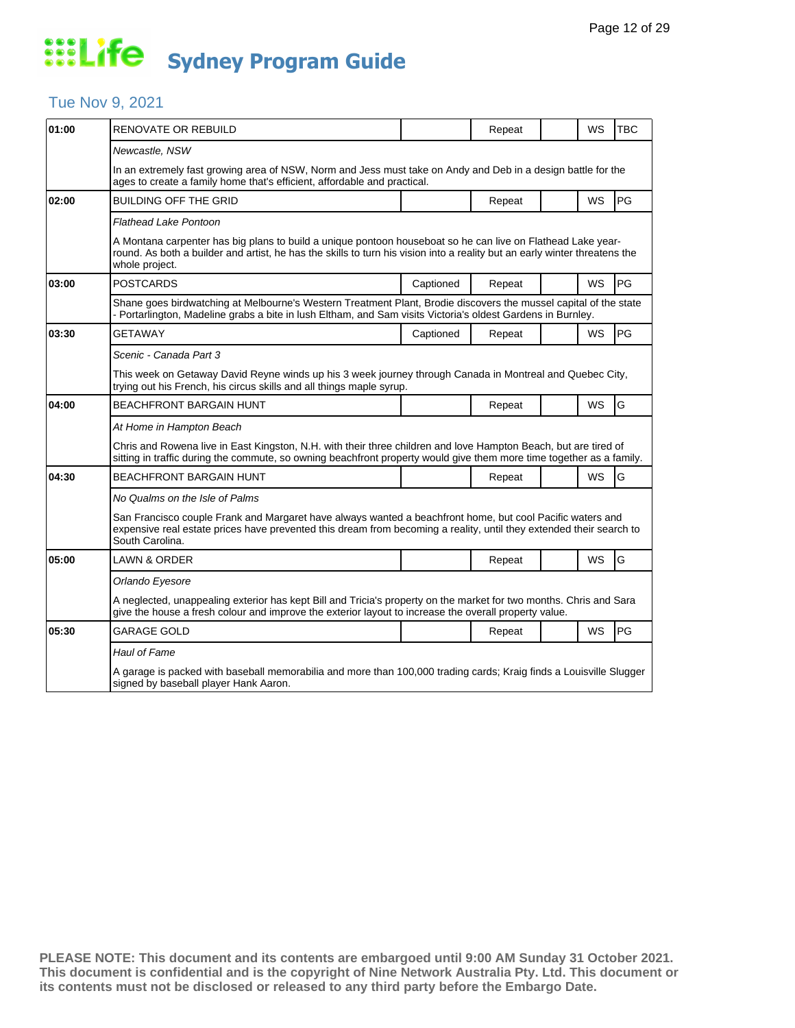### Tue Nov 9, 2021

| 01:00 | <b>RENOVATE OR REBUILD</b>                                                                                                                                                                                                                                  |           | Repeat |  | WS        | <b>TBC</b> |  |  |
|-------|-------------------------------------------------------------------------------------------------------------------------------------------------------------------------------------------------------------------------------------------------------------|-----------|--------|--|-----------|------------|--|--|
|       | Newcastle, NSW                                                                                                                                                                                                                                              |           |        |  |           |            |  |  |
|       | In an extremely fast growing area of NSW, Norm and Jess must take on Andy and Deb in a design battle for the<br>ages to create a family home that's efficient, affordable and practical.                                                                    |           |        |  |           |            |  |  |
| 02:00 | <b>BUILDING OFF THE GRID</b>                                                                                                                                                                                                                                |           | Repeat |  | WS        | PG         |  |  |
|       | <b>Flathead Lake Pontoon</b>                                                                                                                                                                                                                                |           |        |  |           |            |  |  |
|       | A Montana carpenter has big plans to build a unique pontoon houseboat so he can live on Flathead Lake year-<br>round. As both a builder and artist, he has the skills to turn his vision into a reality but an early winter threatens the<br>whole project. |           |        |  |           |            |  |  |
| 03:00 | <b>POSTCARDS</b>                                                                                                                                                                                                                                            | Captioned | Repeat |  | <b>WS</b> | PG         |  |  |
|       | Shane goes birdwatching at Melbourne's Western Treatment Plant, Brodie discovers the mussel capital of the state<br>- Portarlington, Madeline grabs a bite in lush Eltham, and Sam visits Victoria's oldest Gardens in Burnley.                             |           |        |  |           |            |  |  |
| 03:30 | <b>GETAWAY</b>                                                                                                                                                                                                                                              | Captioned | Repeat |  | <b>WS</b> | PG         |  |  |
|       | Scenic - Canada Part 3                                                                                                                                                                                                                                      |           |        |  |           |            |  |  |
|       | This week on Getaway David Reyne winds up his 3 week journey through Canada in Montreal and Quebec City,<br>trying out his French, his circus skills and all things maple syrup.                                                                            |           |        |  |           |            |  |  |
| 04:00 | <b>BEACHFRONT BARGAIN HUNT</b>                                                                                                                                                                                                                              |           | Repeat |  | <b>WS</b> | G          |  |  |
|       | At Home in Hampton Beach                                                                                                                                                                                                                                    |           |        |  |           |            |  |  |
|       | Chris and Rowena live in East Kingston, N.H. with their three children and love Hampton Beach, but are tired of<br>sitting in traffic during the commute, so owning beachfront property would give them more time together as a family.                     |           |        |  |           |            |  |  |
| 04:30 | <b>BEACHFRONT BARGAIN HUNT</b>                                                                                                                                                                                                                              |           | Repeat |  | <b>WS</b> | G          |  |  |
|       | No Qualms on the Isle of Palms                                                                                                                                                                                                                              |           |        |  |           |            |  |  |
|       | San Francisco couple Frank and Margaret have always wanted a beachfront home, but cool Pacific waters and<br>expensive real estate prices have prevented this dream from becoming a reality, until they extended their search to<br>South Carolina.         |           |        |  |           |            |  |  |
| 05:00 | <b>LAWN &amp; ORDER</b>                                                                                                                                                                                                                                     |           | Repeat |  | <b>WS</b> | G          |  |  |
|       | Orlando Eyesore                                                                                                                                                                                                                                             |           |        |  |           |            |  |  |
|       | A neglected, unappealing exterior has kept Bill and Tricia's property on the market for two months. Chris and Sara<br>give the house a fresh colour and improve the exterior layout to increase the overall property value.                                 |           |        |  |           |            |  |  |
| 05:30 | <b>GARAGE GOLD</b>                                                                                                                                                                                                                                          |           | Repeat |  | <b>WS</b> | PG         |  |  |
|       | Haul of Fame                                                                                                                                                                                                                                                |           |        |  |           |            |  |  |
|       | A garage is packed with baseball memorabilia and more than 100,000 trading cards; Kraig finds a Louisville Slugger<br>signed by baseball player Hank Aaron.                                                                                                 |           |        |  |           |            |  |  |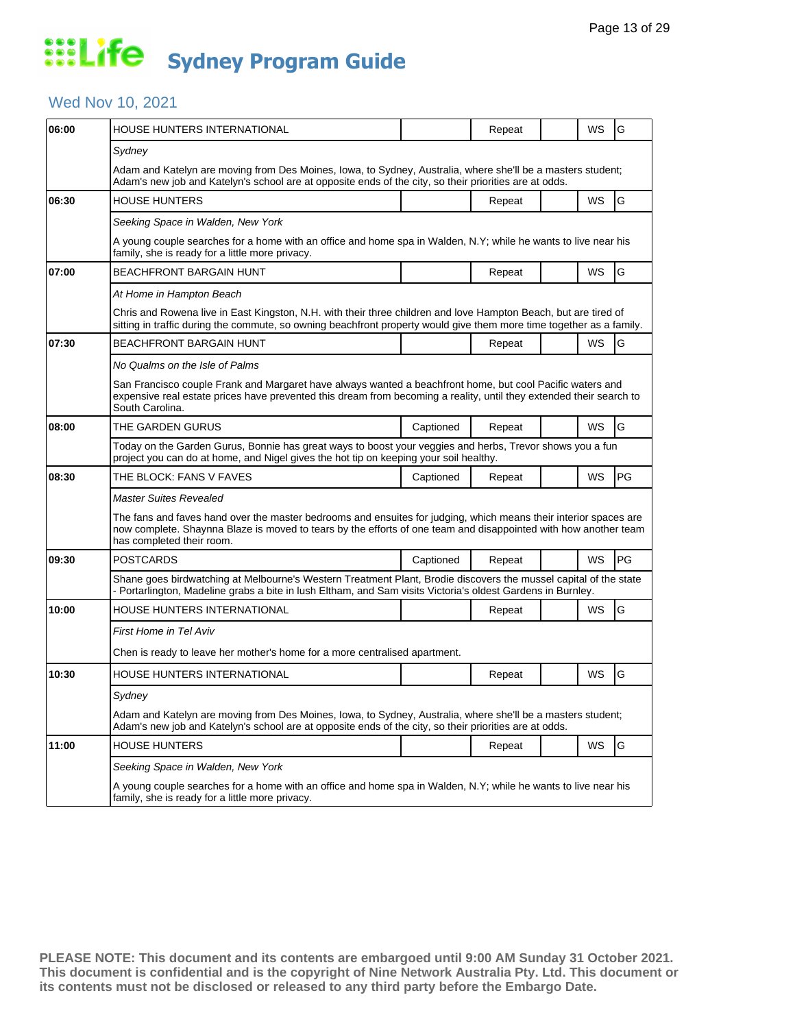## Wed Nov 10, 2021

| 06:00 | <b>HOUSE HUNTERS INTERNATIONAL</b>                                                                                                                                                                                                                               |           | Repeat |  | WS | G             |  |  |  |
|-------|------------------------------------------------------------------------------------------------------------------------------------------------------------------------------------------------------------------------------------------------------------------|-----------|--------|--|----|---------------|--|--|--|
|       | Sydney                                                                                                                                                                                                                                                           |           |        |  |    |               |  |  |  |
|       | Adam and Katelyn are moving from Des Moines, Iowa, to Sydney, Australia, where she'll be a masters student;<br>Adam's new job and Katelyn's school are at opposite ends of the city, so their priorities are at odds.                                            |           |        |  |    |               |  |  |  |
| 06:30 | <b>HOUSE HUNTERS</b>                                                                                                                                                                                                                                             |           | Repeat |  | WS | G             |  |  |  |
|       | Seeking Space in Walden, New York                                                                                                                                                                                                                                |           |        |  |    |               |  |  |  |
|       | A young couple searches for a home with an office and home spa in Walden, N.Y; while he wants to live near his<br>family, she is ready for a little more privacy.                                                                                                |           |        |  |    |               |  |  |  |
| 07:00 | <b>BEACHFRONT BARGAIN HUNT</b>                                                                                                                                                                                                                                   |           | Repeat |  | WS | G             |  |  |  |
|       | At Home in Hampton Beach                                                                                                                                                                                                                                         |           |        |  |    |               |  |  |  |
|       | Chris and Rowena live in East Kingston, N.H. with their three children and love Hampton Beach, but are tired of<br>sitting in traffic during the commute, so owning beachfront property would give them more time together as a family.                          |           |        |  |    |               |  |  |  |
| 07:30 | BEACHFRONT BARGAIN HUNT                                                                                                                                                                                                                                          |           | Repeat |  | WS | G             |  |  |  |
|       | No Qualms on the Isle of Palms                                                                                                                                                                                                                                   |           |        |  |    |               |  |  |  |
|       | San Francisco couple Frank and Margaret have always wanted a beachfront home, but cool Pacific waters and<br>expensive real estate prices have prevented this dream from becoming a reality, until they extended their search to<br>South Carolina.              |           |        |  |    |               |  |  |  |
| 08:00 | THE GARDEN GURUS                                                                                                                                                                                                                                                 | Captioned | Repeat |  | WS | G             |  |  |  |
|       | Today on the Garden Gurus, Bonnie has great ways to boost your veggies and herbs, Trevor shows you a fun<br>project you can do at home, and Nigel gives the hot tip on keeping your soil healthy.                                                                |           |        |  |    |               |  |  |  |
| 08:30 | THE BLOCK: FANS V FAVES                                                                                                                                                                                                                                          | Captioned | Repeat |  | WS | PG            |  |  |  |
|       | Master Suites Revealed                                                                                                                                                                                                                                           |           |        |  |    |               |  |  |  |
|       | The fans and faves hand over the master bedrooms and ensuites for judging, which means their interior spaces are<br>now complete. Shaynna Blaze is moved to tears by the efforts of one team and disappointed with how another team<br>has completed their room. |           |        |  |    |               |  |  |  |
| 09:30 | <b>POSTCARDS</b>                                                                                                                                                                                                                                                 | Captioned | Repeat |  | WS | PG            |  |  |  |
|       | Shane goes birdwatching at Melbourne's Western Treatment Plant, Brodie discovers the mussel capital of the state<br>- Portarlington, Madeline grabs a bite in lush Eltham, and Sam visits Victoria's oldest Gardens in Burnley.                                  |           |        |  |    |               |  |  |  |
| 10:00 | HOUSE HUNTERS INTERNATIONAL                                                                                                                                                                                                                                      |           | Repeat |  | WS | ${\mathsf G}$ |  |  |  |
|       | First Home in Tel Aviv                                                                                                                                                                                                                                           |           |        |  |    |               |  |  |  |
|       | Chen is ready to leave her mother's home for a more centralised apartment.                                                                                                                                                                                       |           |        |  |    |               |  |  |  |
| 10:30 | HOUSE HUNTERS INTERNATIONAL                                                                                                                                                                                                                                      |           | Repeat |  | WS | G             |  |  |  |
|       | Sydney                                                                                                                                                                                                                                                           |           |        |  |    |               |  |  |  |
|       | Adam and Katelyn are moving from Des Moines, Iowa, to Sydney, Australia, where she'll be a masters student;<br>Adam's new job and Katelyn's school are at opposite ends of the city, so their priorities are at odds.                                            |           |        |  |    |               |  |  |  |
| 11:00 | <b>HOUSE HUNTERS</b>                                                                                                                                                                                                                                             |           | Repeat |  | WS | G             |  |  |  |
|       | Seeking Space in Walden, New York                                                                                                                                                                                                                                |           |        |  |    |               |  |  |  |
|       | A young couple searches for a home with an office and home spa in Walden, N.Y; while he wants to live near his<br>family, she is ready for a little more privacy.                                                                                                |           |        |  |    |               |  |  |  |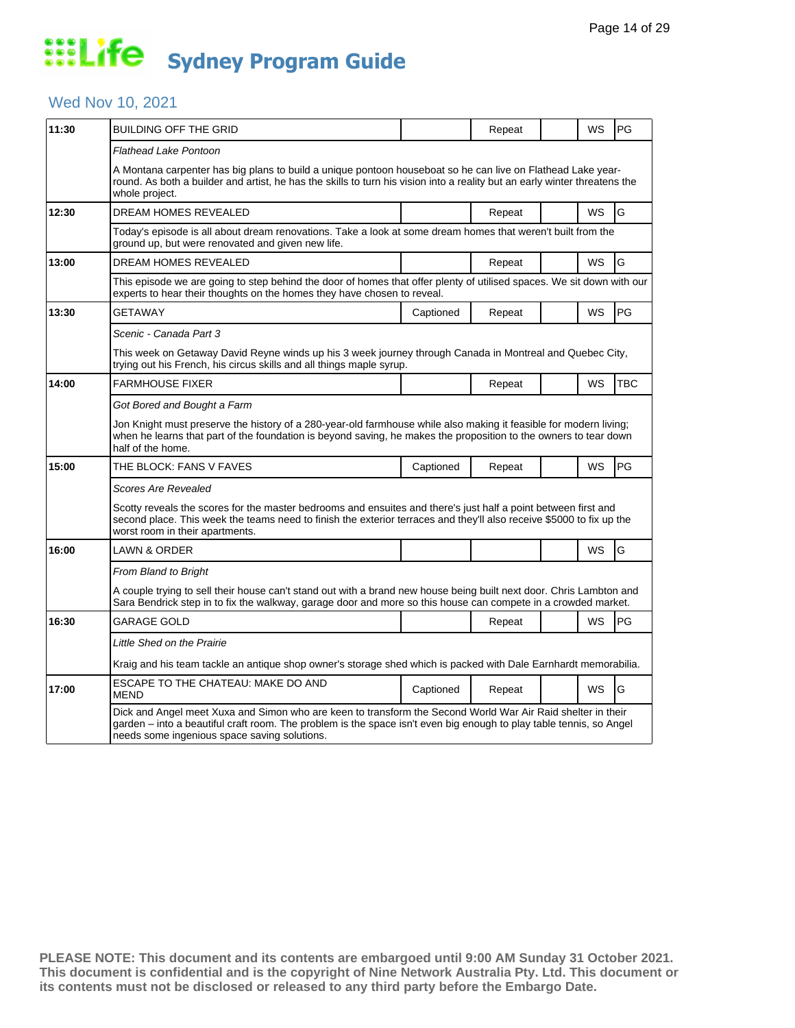## Wed Nov 10, 2021

| 11:30 | BUILDING OFF THE GRID                                                                                                                                                                                                                                                              |           | Repeat |  | WS        | PG         |  |  |
|-------|------------------------------------------------------------------------------------------------------------------------------------------------------------------------------------------------------------------------------------------------------------------------------------|-----------|--------|--|-----------|------------|--|--|
|       | Flathead Lake Pontoon                                                                                                                                                                                                                                                              |           |        |  |           |            |  |  |
|       | A Montana carpenter has big plans to build a unique pontoon houseboat so he can live on Flathead Lake year-<br>round. As both a builder and artist, he has the skills to turn his vision into a reality but an early winter threatens the<br>whole project.                        |           |        |  |           |            |  |  |
| 12:30 | <b>DREAM HOMES REVEALED</b>                                                                                                                                                                                                                                                        |           | Repeat |  | WS        | G          |  |  |
|       | Today's episode is all about dream renovations. Take a look at some dream homes that weren't built from the<br>ground up, but were renovated and given new life.                                                                                                                   |           |        |  |           |            |  |  |
| 13:00 | <b>DREAM HOMES REVEALED</b>                                                                                                                                                                                                                                                        |           | Repeat |  | <b>WS</b> | G          |  |  |
|       | This episode we are going to step behind the door of homes that offer plenty of utilised spaces. We sit down with our<br>experts to hear their thoughts on the homes they have chosen to reveal.                                                                                   |           |        |  |           |            |  |  |
| 13:30 | GETAWAY                                                                                                                                                                                                                                                                            | Captioned | Repeat |  | <b>WS</b> | PG         |  |  |
|       | Scenic - Canada Part 3                                                                                                                                                                                                                                                             |           |        |  |           |            |  |  |
|       | This week on Getaway David Reyne winds up his 3 week journey through Canada in Montreal and Quebec City,<br>trying out his French, his circus skills and all things maple syrup.                                                                                                   |           |        |  |           |            |  |  |
| 14:00 | <b>FARMHOUSE FIXER</b>                                                                                                                                                                                                                                                             |           | Repeat |  | WS        | <b>TBC</b> |  |  |
|       | Got Bored and Bought a Farm                                                                                                                                                                                                                                                        |           |        |  |           |            |  |  |
|       | Jon Knight must preserve the history of a 280-year-old farmhouse while also making it feasible for modern living;<br>when he learns that part of the foundation is beyond saving, he makes the proposition to the owners to tear down<br>half of the home.                         |           |        |  |           |            |  |  |
| 15:00 | THE BLOCK: FANS V FAVES                                                                                                                                                                                                                                                            | Captioned | Repeat |  | WS        | PG         |  |  |
|       | Scores Are Revealed                                                                                                                                                                                                                                                                |           |        |  |           |            |  |  |
|       | Scotty reveals the scores for the master bedrooms and ensuites and there's just half a point between first and<br>second place. This week the teams need to finish the exterior terraces and they'll also receive \$5000 to fix up the<br>worst room in their apartments.          |           |        |  |           |            |  |  |
| 16:00 | LAWN & ORDER                                                                                                                                                                                                                                                                       |           |        |  | WS        | G          |  |  |
|       | From Bland to Bright                                                                                                                                                                                                                                                               |           |        |  |           |            |  |  |
|       | A couple trying to sell their house can't stand out with a brand new house being built next door. Chris Lambton and<br>Sara Bendrick step in to fix the walkway, garage door and more so this house can compete in a crowded market.                                               |           |        |  |           |            |  |  |
| 16:30 | GARAGE GOLD                                                                                                                                                                                                                                                                        |           | Repeat |  | WS        | PG         |  |  |
|       | Little Shed on the Prairie                                                                                                                                                                                                                                                         |           |        |  |           |            |  |  |
|       | Kraig and his team tackle an antique shop owner's storage shed which is packed with Dale Earnhardt memorabilia.                                                                                                                                                                    |           |        |  |           |            |  |  |
| 17:00 | ESCAPE TO THE CHATEAU: MAKE DO AND<br>MEND                                                                                                                                                                                                                                         | Captioned | Repeat |  | WS        | G          |  |  |
|       | Dick and Angel meet Xuxa and Simon who are keen to transform the Second World War Air Raid shelter in their<br>garden – into a beautiful craft room. The problem is the space isn't even big enough to play table tennis, so Angel<br>needs some ingenious space saving solutions. |           |        |  |           |            |  |  |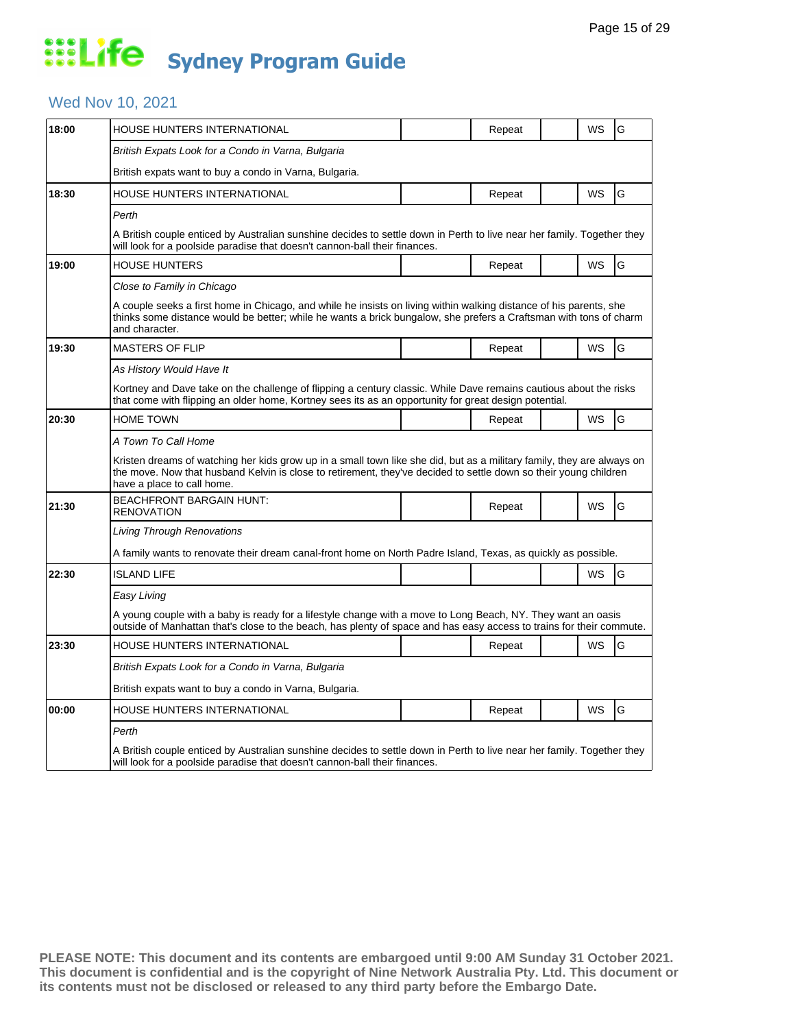## Wed Nov 10, 2021

| 18:00 | HOUSE HUNTERS INTERNATIONAL                                                                                                                                                                                                                                              |  | Repeat |  | WS        | G |  |  |
|-------|--------------------------------------------------------------------------------------------------------------------------------------------------------------------------------------------------------------------------------------------------------------------------|--|--------|--|-----------|---|--|--|
|       | British Expats Look for a Condo in Varna, Bulgaria                                                                                                                                                                                                                       |  |        |  |           |   |  |  |
|       | British expats want to buy a condo in Varna, Bulgaria.                                                                                                                                                                                                                   |  |        |  |           |   |  |  |
| 18:30 | <b>HOUSE HUNTERS INTERNATIONAL</b>                                                                                                                                                                                                                                       |  | Repeat |  | WS        | G |  |  |
|       | Perth                                                                                                                                                                                                                                                                    |  |        |  |           |   |  |  |
|       | A British couple enticed by Australian sunshine decides to settle down in Perth to live near her family. Together they<br>will look for a poolside paradise that doesn't cannon-ball their finances.                                                                     |  |        |  |           |   |  |  |
| 19:00 | HOUSE HUNTERS                                                                                                                                                                                                                                                            |  | Repeat |  | WS        | G |  |  |
|       | Close to Family in Chicago                                                                                                                                                                                                                                               |  |        |  |           |   |  |  |
|       | A couple seeks a first home in Chicago, and while he insists on living within walking distance of his parents, she<br>thinks some distance would be better; while he wants a brick bungalow, she prefers a Craftsman with tons of charm<br>and character.                |  |        |  |           |   |  |  |
| 19:30 | <b>MASTERS OF FLIP</b>                                                                                                                                                                                                                                                   |  | Repeat |  | <b>WS</b> | G |  |  |
|       | As History Would Have It                                                                                                                                                                                                                                                 |  |        |  |           |   |  |  |
|       | Kortney and Dave take on the challenge of flipping a century classic. While Dave remains cautious about the risks<br>that come with flipping an older home, Kortney sees its as an opportunity for great design potential.                                               |  |        |  |           |   |  |  |
| 20:30 | <b>HOME TOWN</b>                                                                                                                                                                                                                                                         |  | Repeat |  | <b>WS</b> | G |  |  |
|       | A Town To Call Home                                                                                                                                                                                                                                                      |  |        |  |           |   |  |  |
|       | Kristen dreams of watching her kids grow up in a small town like she did, but as a military family, they are always on<br>the move. Now that husband Kelvin is close to retirement, they've decided to settle down so their young children<br>have a place to call home. |  |        |  |           |   |  |  |
| 21:30 | <b>BEACHFRONT BARGAIN HUNT:</b><br><b>RENOVATION</b>                                                                                                                                                                                                                     |  | Repeat |  | <b>WS</b> | G |  |  |
|       | Living Through Renovations                                                                                                                                                                                                                                               |  |        |  |           |   |  |  |
|       | A family wants to renovate their dream canal-front home on North Padre Island, Texas, as quickly as possible.                                                                                                                                                            |  |        |  |           |   |  |  |
| 22:30 | <b>ISLAND LIFE</b>                                                                                                                                                                                                                                                       |  |        |  | WS        | G |  |  |
|       | Easy Living                                                                                                                                                                                                                                                              |  |        |  |           |   |  |  |
|       | A young couple with a baby is ready for a lifestyle change with a move to Long Beach, NY. They want an oasis<br>outside of Manhattan that's close to the beach, has plenty of space and has easy access to trains for their commute.                                     |  |        |  |           |   |  |  |
| 23:30 | HOUSE HUNTERS INTERNATIONAL                                                                                                                                                                                                                                              |  | Repeat |  | WS        | G |  |  |
|       | British Expats Look for a Condo in Varna, Bulgaria                                                                                                                                                                                                                       |  |        |  |           |   |  |  |
|       | British expats want to buy a condo in Varna, Bulgaria.                                                                                                                                                                                                                   |  |        |  |           |   |  |  |
| 00:00 | HOUSE HUNTERS INTERNATIONAL                                                                                                                                                                                                                                              |  | Repeat |  | WS        | G |  |  |
|       | Perth                                                                                                                                                                                                                                                                    |  |        |  |           |   |  |  |
|       | A British couple enticed by Australian sunshine decides to settle down in Perth to live near her family. Together they<br>will look for a poolside paradise that doesn't cannon-ball their finances.                                                                     |  |        |  |           |   |  |  |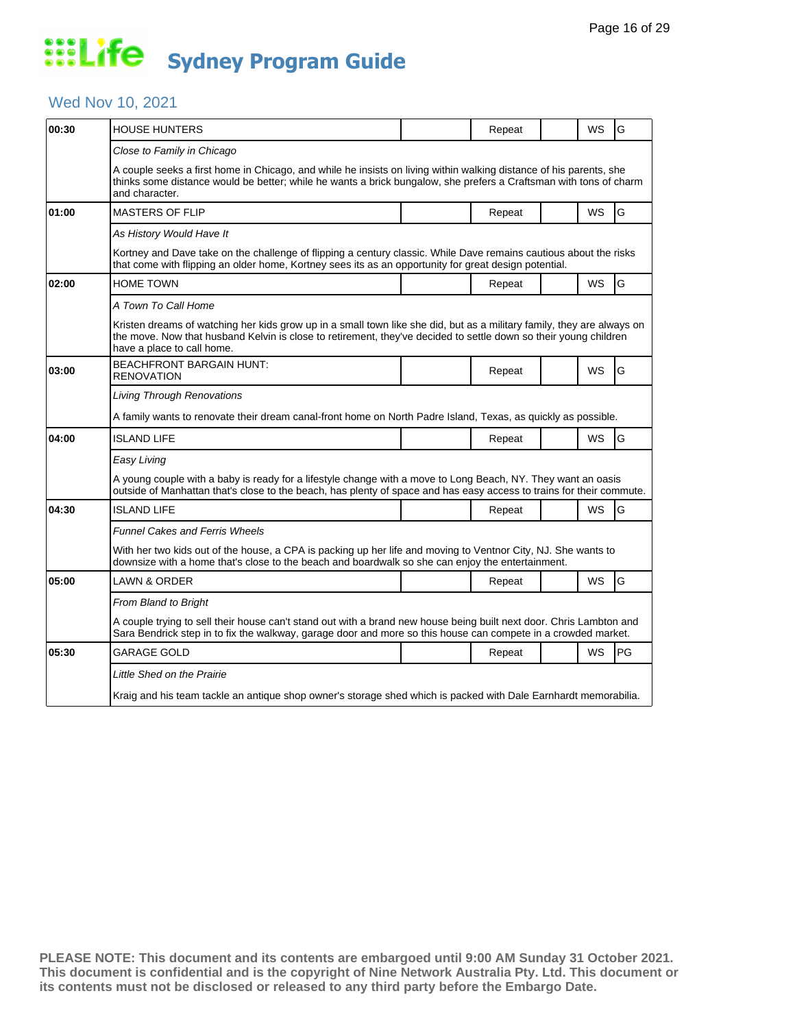## Wed Nov 10, 2021

| 00:30 | <b>HOUSE HUNTERS</b>                                                                                                                                                                                                                                                                    |  | Repeat |  | WS        | G  |  |  |  |
|-------|-----------------------------------------------------------------------------------------------------------------------------------------------------------------------------------------------------------------------------------------------------------------------------------------|--|--------|--|-----------|----|--|--|--|
|       | Close to Family in Chicago<br>A couple seeks a first home in Chicago, and while he insists on living within walking distance of his parents, she<br>thinks some distance would be better; while he wants a brick bungalow, she prefers a Craftsman with tons of charm<br>and character. |  |        |  |           |    |  |  |  |
| 01:00 | <b>MASTERS OF FLIP</b>                                                                                                                                                                                                                                                                  |  | Repeat |  | WS        | G  |  |  |  |
|       | As History Would Have It                                                                                                                                                                                                                                                                |  |        |  |           |    |  |  |  |
|       | Kortney and Dave take on the challenge of flipping a century classic. While Dave remains cautious about the risks<br>that come with flipping an older home, Kortney sees its as an opportunity for great design potential.                                                              |  |        |  |           |    |  |  |  |
| 02:00 | <b>HOME TOWN</b>                                                                                                                                                                                                                                                                        |  | Repeat |  | WS        | G  |  |  |  |
|       | A Town To Call Home                                                                                                                                                                                                                                                                     |  |        |  |           |    |  |  |  |
|       | Kristen dreams of watching her kids grow up in a small town like she did, but as a military family, they are always on<br>the move. Now that husband Kelvin is close to retirement, they've decided to settle down so their young children<br>have a place to call home.                |  |        |  |           |    |  |  |  |
| 03:00 | <b>BEACHFRONT BARGAIN HUNT:</b><br><b>RENOVATION</b>                                                                                                                                                                                                                                    |  | Repeat |  | WS        | G  |  |  |  |
|       | <b>Living Through Renovations</b>                                                                                                                                                                                                                                                       |  |        |  |           |    |  |  |  |
|       | A family wants to renovate their dream canal-front home on North Padre Island, Texas, as quickly as possible.                                                                                                                                                                           |  |        |  |           |    |  |  |  |
| 04:00 | <b>ISLAND LIFE</b>                                                                                                                                                                                                                                                                      |  | Repeat |  | WS        | G  |  |  |  |
|       | Easy Living                                                                                                                                                                                                                                                                             |  |        |  |           |    |  |  |  |
|       | A young couple with a baby is ready for a lifestyle change with a move to Long Beach, NY. They want an oasis<br>outside of Manhattan that's close to the beach, has plenty of space and has easy access to trains for their commute.                                                    |  |        |  |           |    |  |  |  |
| 04:30 | <b>ISLAND LIFE</b>                                                                                                                                                                                                                                                                      |  | Repeat |  | <b>WS</b> | G  |  |  |  |
|       | <b>Funnel Cakes and Ferris Wheels</b>                                                                                                                                                                                                                                                   |  |        |  |           |    |  |  |  |
|       | With her two kids out of the house, a CPA is packing up her life and moving to Ventnor City, NJ. She wants to<br>downsize with a home that's close to the beach and boardwalk so she can enjoy the entertainment.                                                                       |  |        |  |           |    |  |  |  |
| 05:00 | LAWN & ORDER                                                                                                                                                                                                                                                                            |  | Repeat |  | WS        | G  |  |  |  |
|       | <b>From Bland to Bright</b>                                                                                                                                                                                                                                                             |  |        |  |           |    |  |  |  |
|       | A couple trying to sell their house can't stand out with a brand new house being built next door. Chris Lambton and<br>Sara Bendrick step in to fix the walkway, garage door and more so this house can compete in a crowded market.                                                    |  |        |  |           |    |  |  |  |
| 05:30 | <b>GARAGE GOLD</b>                                                                                                                                                                                                                                                                      |  | Repeat |  | WS        | PG |  |  |  |
|       | Little Shed on the Prairie                                                                                                                                                                                                                                                              |  |        |  |           |    |  |  |  |
|       | Kraig and his team tackle an antique shop owner's storage shed which is packed with Dale Earnhardt memorabilia.                                                                                                                                                                         |  |        |  |           |    |  |  |  |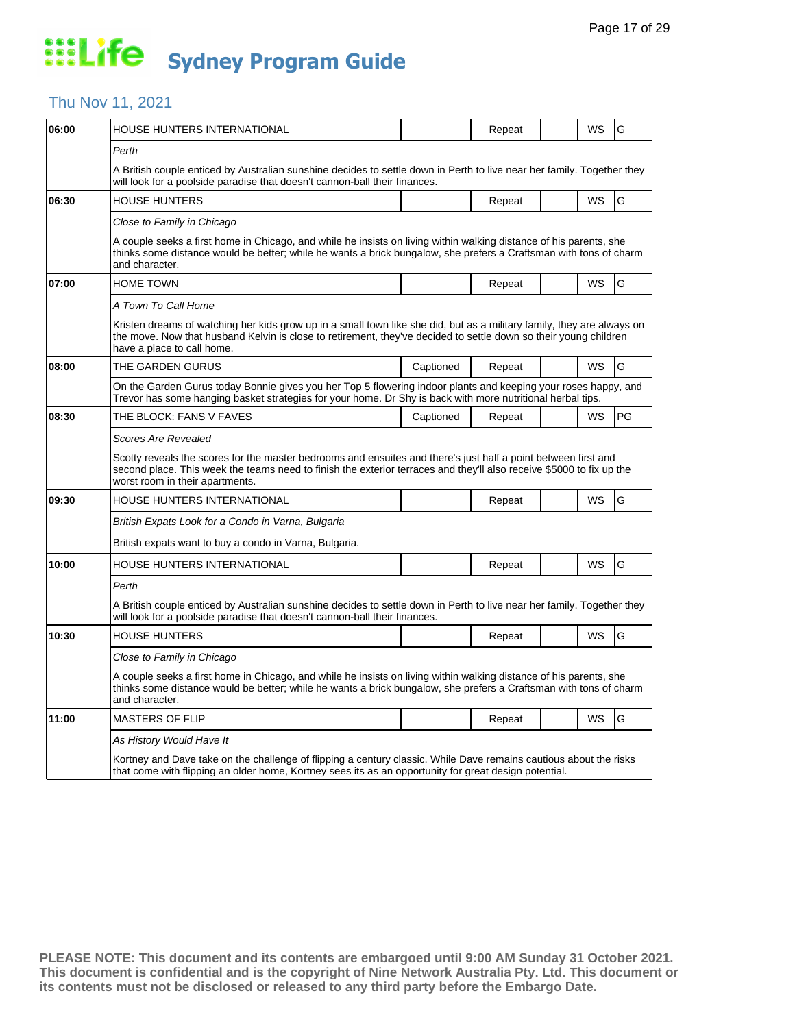#### Thu Nov 11, 2021

| 06:00 | HOUSE HUNTERS INTERNATIONAL                                                                                                                                                                                                                                               |           | Repeat |  | WS | G  |  |  |
|-------|---------------------------------------------------------------------------------------------------------------------------------------------------------------------------------------------------------------------------------------------------------------------------|-----------|--------|--|----|----|--|--|
|       | Perth<br>A British couple enticed by Australian sunshine decides to settle down in Perth to live near her family. Together they                                                                                                                                           |           |        |  |    |    |  |  |
|       | will look for a poolside paradise that doesn't cannon-ball their finances.                                                                                                                                                                                                |           |        |  |    |    |  |  |
| 06:30 | <b>HOUSE HUNTERS</b>                                                                                                                                                                                                                                                      |           | Repeat |  | WS | G  |  |  |
|       | Close to Family in Chicago                                                                                                                                                                                                                                                |           |        |  |    |    |  |  |
|       | A couple seeks a first home in Chicago, and while he insists on living within walking distance of his parents, she<br>thinks some distance would be better; while he wants a brick bungalow, she prefers a Craftsman with tons of charm<br>and character.                 |           |        |  |    |    |  |  |
| 07:00 | <b>HOME TOWN</b>                                                                                                                                                                                                                                                          |           | Repeat |  | WS | G  |  |  |
|       | A Town To Call Home                                                                                                                                                                                                                                                       |           |        |  |    |    |  |  |
|       | Kristen dreams of watching her kids grow up in a small town like she did, but as a military family, they are always on<br>the move. Now that husband Kelvin is close to retirement, they've decided to settle down so their young children<br>have a place to call home.  |           |        |  |    |    |  |  |
| 08:00 | THE GARDEN GURUS                                                                                                                                                                                                                                                          | Captioned | Repeat |  | WS | G  |  |  |
|       | On the Garden Gurus today Bonnie gives you her Top 5 flowering indoor plants and keeping your roses happy, and<br>Trevor has some hanging basket strategies for your home. Dr Shy is back with more nutritional herbal tips.                                              |           |        |  |    |    |  |  |
| 08:30 | THE BLOCK: FANS V FAVES                                                                                                                                                                                                                                                   | Captioned | Repeat |  | WS | PG |  |  |
|       | Scores Are Revealed                                                                                                                                                                                                                                                       |           |        |  |    |    |  |  |
|       | Scotty reveals the scores for the master bedrooms and ensuites and there's just half a point between first and<br>second place. This week the teams need to finish the exterior terraces and they'll also receive \$5000 to fix up the<br>worst room in their apartments. |           |        |  |    |    |  |  |
| 09:30 | HOUSE HUNTERS INTERNATIONAL                                                                                                                                                                                                                                               |           | Repeat |  | WS | G  |  |  |
|       | British Expats Look for a Condo in Varna, Bulgaria                                                                                                                                                                                                                        |           |        |  |    |    |  |  |
|       | British expats want to buy a condo in Varna, Bulgaria.                                                                                                                                                                                                                    |           |        |  |    |    |  |  |
| 10:00 | HOUSE HUNTERS INTERNATIONAL                                                                                                                                                                                                                                               |           | Repeat |  | WS | G  |  |  |
|       | Perth                                                                                                                                                                                                                                                                     |           |        |  |    |    |  |  |
|       | A British couple enticed by Australian sunshine decides to settle down in Perth to live near her family. Together they<br>will look for a poolside paradise that doesn't cannon-ball their finances.                                                                      |           |        |  |    |    |  |  |
| 10:30 | <b>HOUSE HUNTERS</b>                                                                                                                                                                                                                                                      |           | Repeat |  | WS | G  |  |  |
|       | Close to Family in Chicago                                                                                                                                                                                                                                                |           |        |  |    |    |  |  |
|       | A couple seeks a first home in Chicago, and while he insists on living within walking distance of his parents, she<br>thinks some distance would be better; while he wants a brick bungalow, she prefers a Craftsman with tons of charm<br>and character.                 |           |        |  |    |    |  |  |
| 11:00 | MASTERS OF FLIP                                                                                                                                                                                                                                                           |           | Repeat |  | WS | G  |  |  |
|       | As History Would Have It                                                                                                                                                                                                                                                  |           |        |  |    |    |  |  |
|       | Kortney and Dave take on the challenge of flipping a century classic. While Dave remains cautious about the risks<br>that come with flipping an older home, Kortney sees its as an opportunity for great design potential.                                                |           |        |  |    |    |  |  |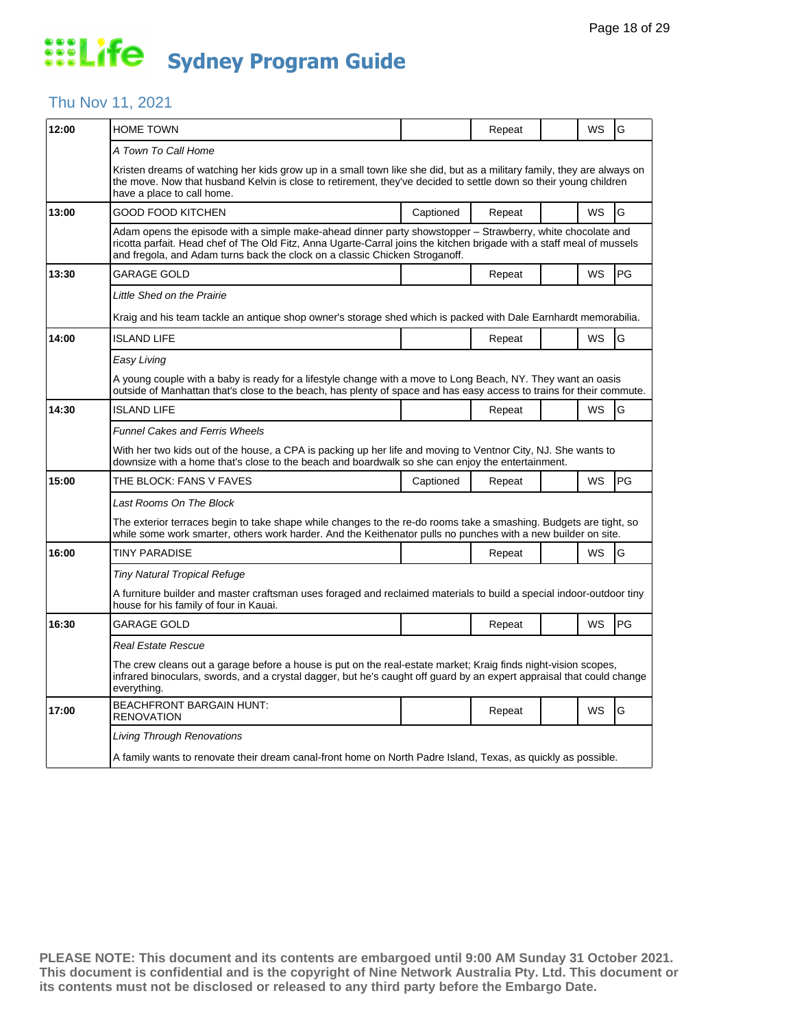#### Thu Nov 11, 2021

| 12:00 | <b>HOME TOWN</b>                                                                                                                                                                                                                                                                                                   |           | Repeat |  | WS | G  |  |  |
|-------|--------------------------------------------------------------------------------------------------------------------------------------------------------------------------------------------------------------------------------------------------------------------------------------------------------------------|-----------|--------|--|----|----|--|--|
|       | A Town To Call Home                                                                                                                                                                                                                                                                                                |           |        |  |    |    |  |  |
|       | Kristen dreams of watching her kids grow up in a small town like she did, but as a military family, they are always on<br>the move. Now that husband Kelvin is close to retirement, they've decided to settle down so their young children<br>have a place to call home.                                           |           |        |  |    |    |  |  |
| 13:00 | GOOD FOOD KITCHEN                                                                                                                                                                                                                                                                                                  | Captioned | Repeat |  | WS | G  |  |  |
|       | Adam opens the episode with a simple make-ahead dinner party showstopper – Strawberry, white chocolate and<br>ricotta parfait. Head chef of The Old Fitz, Anna Ugarte-Carral joins the kitchen brigade with a staff meal of mussels<br>and fregola, and Adam turns back the clock on a classic Chicken Stroganoff. |           |        |  |    |    |  |  |
| 13:30 | GARAGE GOLD                                                                                                                                                                                                                                                                                                        |           | Repeat |  | WS | PG |  |  |
|       | Little Shed on the Prairie                                                                                                                                                                                                                                                                                         |           |        |  |    |    |  |  |
|       | Kraig and his team tackle an antique shop owner's storage shed which is packed with Dale Earnhardt memorabilia.                                                                                                                                                                                                    |           |        |  |    |    |  |  |
| 14:00 | <b>ISLAND LIFE</b>                                                                                                                                                                                                                                                                                                 |           | Repeat |  | WS | G  |  |  |
|       | Easy Living                                                                                                                                                                                                                                                                                                        |           |        |  |    |    |  |  |
|       | A young couple with a baby is ready for a lifestyle change with a move to Long Beach, NY. They want an oasis<br>outside of Manhattan that's close to the beach, has plenty of space and has easy access to trains for their commute.                                                                               |           |        |  |    |    |  |  |
| 14:30 | <b>ISLAND LIFE</b>                                                                                                                                                                                                                                                                                                 |           | Repeat |  | WS | G  |  |  |
|       | <b>Funnel Cakes and Ferris Wheels</b>                                                                                                                                                                                                                                                                              |           |        |  |    |    |  |  |
|       | With her two kids out of the house, a CPA is packing up her life and moving to Ventnor City, NJ. She wants to<br>downsize with a home that's close to the beach and boardwalk so she can enjoy the entertainment.                                                                                                  |           |        |  |    |    |  |  |
| 15:00 | THE BLOCK: FANS V FAVES                                                                                                                                                                                                                                                                                            | Captioned | Repeat |  | WS | PG |  |  |
|       | Last Rooms On The Block                                                                                                                                                                                                                                                                                            |           |        |  |    |    |  |  |
|       | The exterior terraces begin to take shape while changes to the re-do rooms take a smashing. Budgets are tight, so<br>while some work smarter, others work harder. And the Keithenator pulls no punches with a new builder on site.                                                                                 |           |        |  |    |    |  |  |
| 16:00 | <b>TINY PARADISE</b>                                                                                                                                                                                                                                                                                               |           | Repeat |  | WS | G  |  |  |
|       | Tiny Natural Tropical Refuge                                                                                                                                                                                                                                                                                       |           |        |  |    |    |  |  |
|       | A furniture builder and master craftsman uses foraged and reclaimed materials to build a special indoor-outdoor tiny<br>house for his family of four in Kauai.                                                                                                                                                     |           |        |  |    |    |  |  |
| 16:30 | <b>GARAGE GOLD</b>                                                                                                                                                                                                                                                                                                 |           | Repeat |  | WS | PG |  |  |
|       | Real Estate Rescue                                                                                                                                                                                                                                                                                                 |           |        |  |    |    |  |  |
|       | The crew cleans out a garage before a house is put on the real-estate market; Kraig finds night-vision scopes,<br>infrared binoculars, swords, and a crystal dagger, but he's caught off guard by an expert appraisal that could change<br>everything.                                                             |           |        |  |    |    |  |  |
| 17:00 | <b>BEACHFRONT BARGAIN HUNT:</b><br><b>RENOVATION</b>                                                                                                                                                                                                                                                               |           | Repeat |  | WS | G  |  |  |
|       | Living Through Renovations                                                                                                                                                                                                                                                                                         |           |        |  |    |    |  |  |
|       | A family wants to renovate their dream canal-front home on North Padre Island, Texas, as quickly as possible.                                                                                                                                                                                                      |           |        |  |    |    |  |  |
|       |                                                                                                                                                                                                                                                                                                                    |           |        |  |    |    |  |  |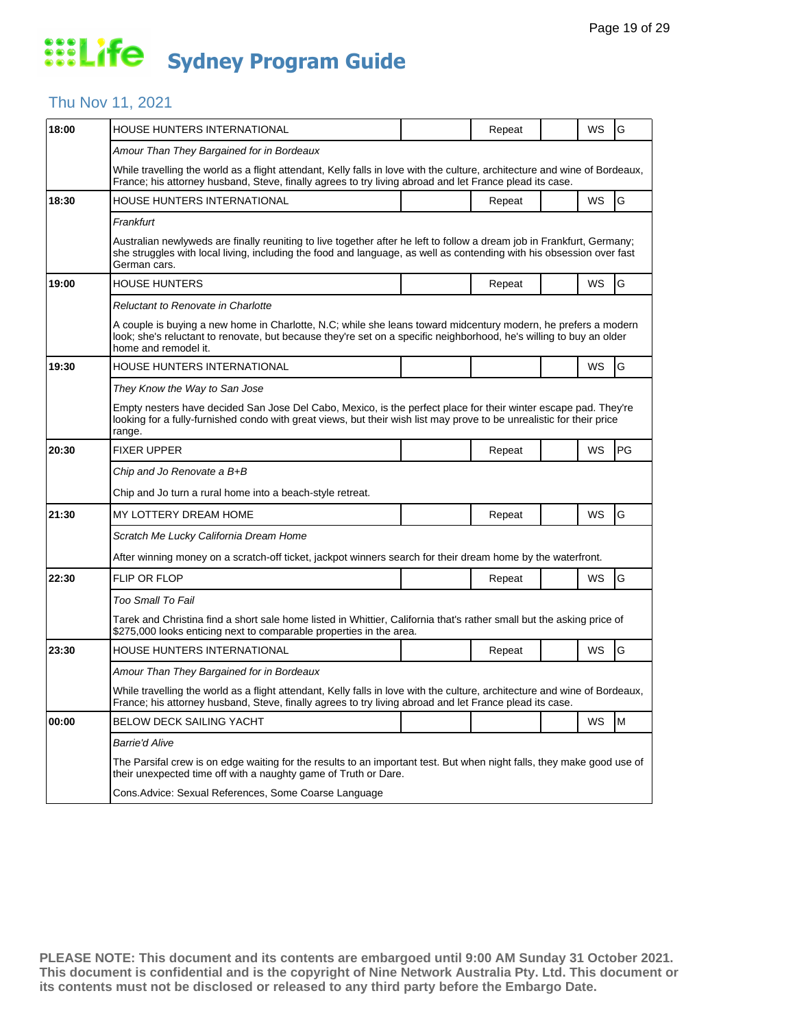#### Thu Nov 11, 2021

| 18:00 | HOUSE HUNTERS INTERNATIONAL                                                                                                                                                                                                                                    |  | Repeat |  | WS | G  |  |  |
|-------|----------------------------------------------------------------------------------------------------------------------------------------------------------------------------------------------------------------------------------------------------------------|--|--------|--|----|----|--|--|
|       | Amour Than They Bargained for in Bordeaux                                                                                                                                                                                                                      |  |        |  |    |    |  |  |
|       | While travelling the world as a flight attendant, Kelly falls in love with the culture, architecture and wine of Bordeaux,<br>France; his attorney husband, Steve, finally agrees to try living abroad and let France plead its case.                          |  |        |  |    |    |  |  |
| 18:30 | HOUSE HUNTERS INTERNATIONAL                                                                                                                                                                                                                                    |  | Repeat |  | WS | G  |  |  |
|       | Frankfurt                                                                                                                                                                                                                                                      |  |        |  |    |    |  |  |
|       | Australian newlyweds are finally reuniting to live together after he left to follow a dream job in Frankfurt, Germany;<br>she struggles with local living, including the food and language, as well as contending with his obsession over fast<br>German cars. |  |        |  |    |    |  |  |
| 19:00 | <b>HOUSE HUNTERS</b>                                                                                                                                                                                                                                           |  | Repeat |  | WS | G  |  |  |
|       | <b>Reluctant to Renovate in Charlotte</b>                                                                                                                                                                                                                      |  |        |  |    |    |  |  |
|       | A couple is buying a new home in Charlotte, N.C; while she leans toward midcentury modern, he prefers a modern<br>look; she's reluctant to renovate, but because they're set on a specific neighborhood, he's willing to buy an older<br>home and remodel it.  |  |        |  |    |    |  |  |
| 19:30 | HOUSE HUNTERS INTERNATIONAL                                                                                                                                                                                                                                    |  |        |  | WS | G  |  |  |
|       | They Know the Way to San Jose                                                                                                                                                                                                                                  |  |        |  |    |    |  |  |
|       | Empty nesters have decided San Jose Del Cabo, Mexico, is the perfect place for their winter escape pad. They're<br>looking for a fully-furnished condo with great views, but their wish list may prove to be unrealistic for their price<br>range.             |  |        |  |    |    |  |  |
| 20:30 | <b>FIXER UPPER</b>                                                                                                                                                                                                                                             |  | Repeat |  | WS | PG |  |  |
|       | Chip and Jo Renovate a B+B                                                                                                                                                                                                                                     |  |        |  |    |    |  |  |
|       | Chip and Jo turn a rural home into a beach-style retreat.                                                                                                                                                                                                      |  |        |  |    |    |  |  |
| 21:30 | MY LOTTERY DREAM HOME                                                                                                                                                                                                                                          |  | Repeat |  | WS | G  |  |  |
|       | Scratch Me Lucky California Dream Home                                                                                                                                                                                                                         |  |        |  |    |    |  |  |
|       | After winning money on a scratch-off ticket, jackpot winners search for their dream home by the waterfront.                                                                                                                                                    |  |        |  |    |    |  |  |
| 22:30 | FLIP OR FLOP                                                                                                                                                                                                                                                   |  | Repeat |  | WS | G  |  |  |
|       | Too Small To Fail                                                                                                                                                                                                                                              |  |        |  |    |    |  |  |
|       | Tarek and Christina find a short sale home listed in Whittier, California that's rather small but the asking price of<br>\$275,000 looks enticing next to comparable properties in the area.                                                                   |  |        |  |    |    |  |  |
| 23:30 | <b>HOUSE HUNTERS INTERNATIONAL</b>                                                                                                                                                                                                                             |  | Repeat |  | WS | G  |  |  |
|       | Amour Than They Bargained for in Bordeaux                                                                                                                                                                                                                      |  |        |  |    |    |  |  |
|       | While travelling the world as a flight attendant, Kelly falls in love with the culture, architecture and wine of Bordeaux,<br>France; his attorney husband, Steve, finally agrees to try living abroad and let France plead its case.                          |  |        |  |    |    |  |  |
| 00:00 | BELOW DECK SAILING YACHT                                                                                                                                                                                                                                       |  |        |  | WS | M  |  |  |
|       | <b>Barrie'd Alive</b>                                                                                                                                                                                                                                          |  |        |  |    |    |  |  |
|       | The Parsifal crew is on edge waiting for the results to an important test. But when night falls, they make good use of<br>their unexpected time off with a naughty game of Truth or Dare.                                                                      |  |        |  |    |    |  |  |
|       | Cons. Advice: Sexual References, Some Coarse Language                                                                                                                                                                                                          |  |        |  |    |    |  |  |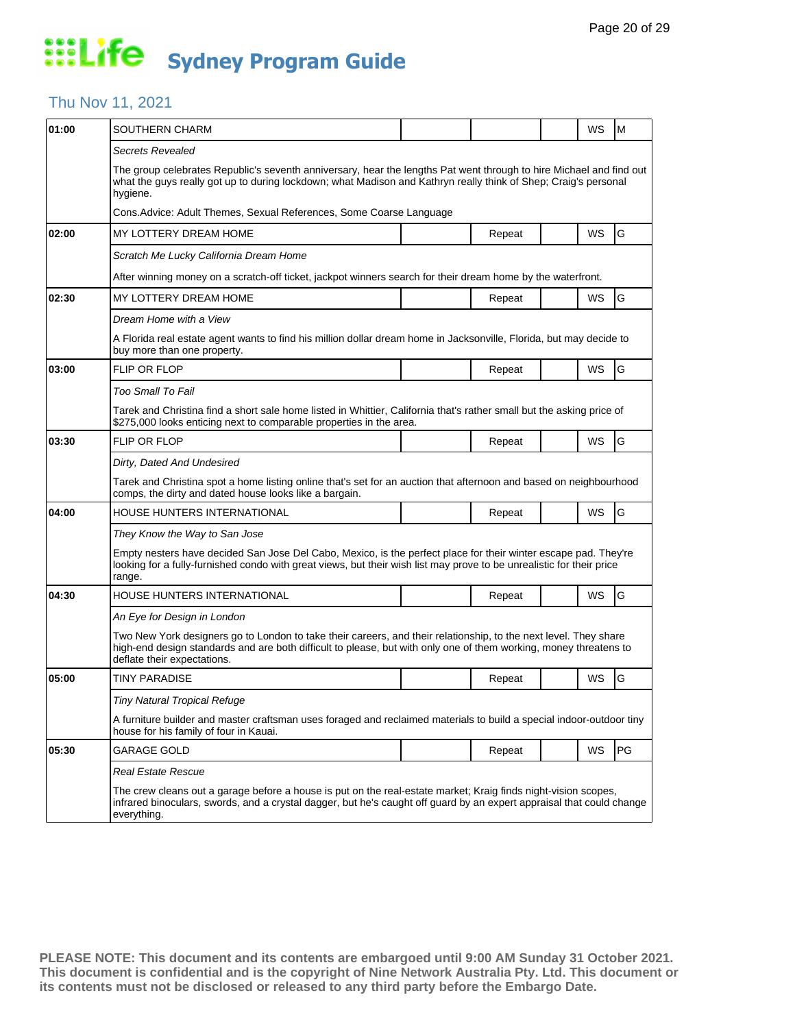#### Thu Nov 11, 2021

| 01:00 | SOUTHERN CHARM                                                                                                                                                                                                                                                       |  |        |  | WS        | M  |  |  |  |
|-------|----------------------------------------------------------------------------------------------------------------------------------------------------------------------------------------------------------------------------------------------------------------------|--|--------|--|-----------|----|--|--|--|
|       | Secrets Revealed                                                                                                                                                                                                                                                     |  |        |  |           |    |  |  |  |
|       | The group celebrates Republic's seventh anniversary, hear the lengths Pat went through to hire Michael and find out<br>what the guys really got up to during lockdown; what Madison and Kathryn really think of Shep; Craig's personal<br>hygiene.                   |  |        |  |           |    |  |  |  |
|       | Cons. Advice: Adult Themes, Sexual References, Some Coarse Language                                                                                                                                                                                                  |  |        |  |           |    |  |  |  |
| 02:00 | MY LOTTERY DREAM HOME                                                                                                                                                                                                                                                |  | Repeat |  | WS        | G  |  |  |  |
|       | Scratch Me Lucky California Dream Home                                                                                                                                                                                                                               |  |        |  |           |    |  |  |  |
|       | After winning money on a scratch-off ticket, jackpot winners search for their dream home by the waterfront.                                                                                                                                                          |  |        |  |           |    |  |  |  |
| 02:30 | MY LOTTERY DREAM HOME                                                                                                                                                                                                                                                |  | Repeat |  | WS        | G  |  |  |  |
|       | Dream Home with a View                                                                                                                                                                                                                                               |  |        |  |           |    |  |  |  |
|       | A Florida real estate agent wants to find his million dollar dream home in Jacksonville, Florida, but may decide to<br>buy more than one property.                                                                                                                   |  |        |  |           |    |  |  |  |
| 03:00 | <b>FLIP OR FLOP</b>                                                                                                                                                                                                                                                  |  | Repeat |  | <b>WS</b> | G  |  |  |  |
|       | Too Small To Fail                                                                                                                                                                                                                                                    |  |        |  |           |    |  |  |  |
|       | Tarek and Christina find a short sale home listed in Whittier, California that's rather small but the asking price of<br>\$275,000 looks enticing next to comparable properties in the area.                                                                         |  |        |  |           |    |  |  |  |
| 03:30 | <b>FLIP OR FLOP</b>                                                                                                                                                                                                                                                  |  | Repeat |  | WS        | G  |  |  |  |
|       | Dirty, Dated And Undesired                                                                                                                                                                                                                                           |  |        |  |           |    |  |  |  |
|       | Tarek and Christina spot a home listing online that's set for an auction that afternoon and based on neighbourhood<br>comps, the dirty and dated house looks like a bargain.                                                                                         |  |        |  |           |    |  |  |  |
| 04:00 | HOUSE HUNTERS INTERNATIONAL                                                                                                                                                                                                                                          |  | Repeat |  | WS        | G  |  |  |  |
|       | They Know the Way to San Jose                                                                                                                                                                                                                                        |  |        |  |           |    |  |  |  |
|       | Empty nesters have decided San Jose Del Cabo, Mexico, is the perfect place for their winter escape pad. They're<br>looking for a fully-furnished condo with great views, but their wish list may prove to be unrealistic for their price<br>range.                   |  |        |  |           |    |  |  |  |
| 04:30 | HOUSE HUNTERS INTERNATIONAL                                                                                                                                                                                                                                          |  | Repeat |  | <b>WS</b> | G  |  |  |  |
|       | An Eye for Design in London                                                                                                                                                                                                                                          |  |        |  |           |    |  |  |  |
|       | Two New York designers go to London to take their careers, and their relationship, to the next level. They share<br>high-end design standards and are both difficult to please, but with only one of them working, money threatens to<br>deflate their expectations. |  |        |  |           |    |  |  |  |
| 05:00 | TINY PARADISE                                                                                                                                                                                                                                                        |  | Repeat |  | WS        | G  |  |  |  |
|       | Tiny Natural Tropical Refuge                                                                                                                                                                                                                                         |  |        |  |           |    |  |  |  |
|       | A furniture builder and master craftsman uses foraged and reclaimed materials to build a special indoor-outdoor tiny<br>house for his family of four in Kauai.                                                                                                       |  |        |  |           |    |  |  |  |
| 05:30 | GARAGE GOLD                                                                                                                                                                                                                                                          |  | Repeat |  | WS        | PG |  |  |  |
|       | Real Estate Rescue                                                                                                                                                                                                                                                   |  |        |  |           |    |  |  |  |
|       | The crew cleans out a garage before a house is put on the real-estate market; Kraig finds night-vision scopes,<br>infrared binoculars, swords, and a crystal dagger, but he's caught off guard by an expert appraisal that could change<br>everything.               |  |        |  |           |    |  |  |  |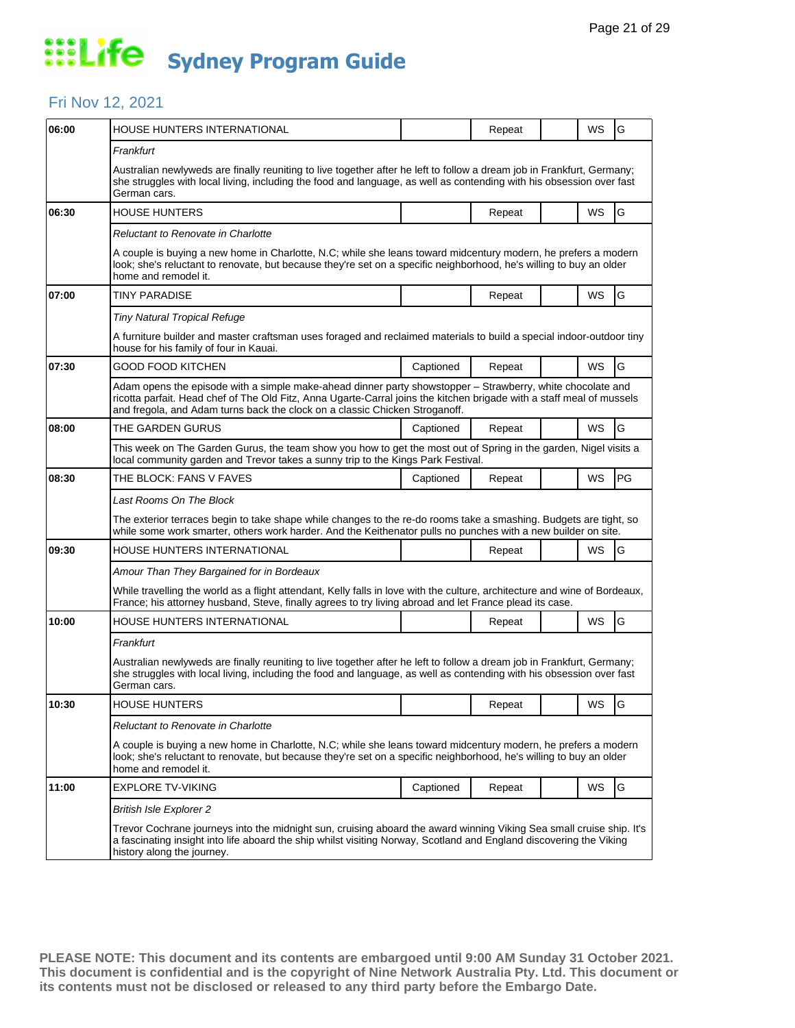### Fri Nov 12, 2021

| 06:00 | HOUSE HUNTERS INTERNATIONAL                                                                                                                                                                                                                                                                                        |           | Repeat |  | WS        | G             |  |  |
|-------|--------------------------------------------------------------------------------------------------------------------------------------------------------------------------------------------------------------------------------------------------------------------------------------------------------------------|-----------|--------|--|-----------|---------------|--|--|
|       | Frankfurt                                                                                                                                                                                                                                                                                                          |           |        |  |           |               |  |  |
|       | Australian newlyweds are finally reuniting to live together after he left to follow a dream job in Frankfurt, Germany;<br>she struggles with local living, including the food and language, as well as contending with his obsession over fast<br>German cars.                                                     |           |        |  |           |               |  |  |
| 06:30 | <b>HOUSE HUNTERS</b>                                                                                                                                                                                                                                                                                               |           | Repeat |  | <b>WS</b> | G             |  |  |
|       | Reluctant to Renovate in Charlotte                                                                                                                                                                                                                                                                                 |           |        |  |           |               |  |  |
|       | A couple is buying a new home in Charlotte, N.C; while she leans toward midcentury modern, he prefers a modern<br>look; she's reluctant to renovate, but because they're set on a specific neighborhood, he's willing to buy an older<br>home and remodel it.                                                      |           |        |  |           |               |  |  |
| 07:00 | TINY PARADISE                                                                                                                                                                                                                                                                                                      |           | Repeat |  | WS        | G             |  |  |
|       | <b>Tiny Natural Tropical Refuge</b>                                                                                                                                                                                                                                                                                |           |        |  |           |               |  |  |
|       | A furniture builder and master craftsman uses foraged and reclaimed materials to build a special indoor-outdoor tiny<br>house for his family of four in Kauai.                                                                                                                                                     |           |        |  |           |               |  |  |
| 07:30 | GOOD FOOD KITCHEN                                                                                                                                                                                                                                                                                                  | Captioned | Repeat |  | WS        | G             |  |  |
|       | Adam opens the episode with a simple make-ahead dinner party showstopper - Strawberry, white chocolate and<br>ricotta parfait. Head chef of The Old Fitz, Anna Ugarte-Carral joins the kitchen brigade with a staff meal of mussels<br>and fregola, and Adam turns back the clock on a classic Chicken Stroganoff. |           |        |  |           |               |  |  |
| 08:00 | THE GARDEN GURUS                                                                                                                                                                                                                                                                                                   | Captioned | Repeat |  | WS        | G             |  |  |
|       | This week on The Garden Gurus, the team show you how to get the most out of Spring in the garden, Nigel visits a<br>local community garden and Trevor takes a sunny trip to the Kings Park Festival.                                                                                                               |           |        |  |           |               |  |  |
| 08:30 | THE BLOCK: FANS V FAVES                                                                                                                                                                                                                                                                                            | Captioned | Repeat |  | WS        | PG            |  |  |
|       | Last Rooms On The Block                                                                                                                                                                                                                                                                                            |           |        |  |           |               |  |  |
|       | The exterior terraces begin to take shape while changes to the re-do rooms take a smashing. Budgets are tight, so<br>while some work smarter, others work harder. And the Keithenator pulls no punches with a new builder on site.                                                                                 |           |        |  |           |               |  |  |
| 09:30 | HOUSE HUNTERS INTERNATIONAL                                                                                                                                                                                                                                                                                        |           | Repeat |  | WS        | G             |  |  |
|       | Amour Than They Bargained for in Bordeaux                                                                                                                                                                                                                                                                          |           |        |  |           |               |  |  |
|       | While travelling the world as a flight attendant, Kelly falls in love with the culture, architecture and wine of Bordeaux,<br>France; his attorney husband, Steve, finally agrees to try living abroad and let France plead its case.                                                                              |           |        |  |           |               |  |  |
| 10:00 | HOUSE HUNTERS INTERNATIONAL                                                                                                                                                                                                                                                                                        |           | Repeat |  | WS        | G             |  |  |
|       | Frankfurt                                                                                                                                                                                                                                                                                                          |           |        |  |           |               |  |  |
|       | Australian newlyweds are finally reuniting to live together after he left to follow a dream job in Frankfurt, Germany;<br>she struggles with local living, including the food and language, as well as contending with his obsession over fast<br>German cars.                                                     |           |        |  |           |               |  |  |
| 10:30 | <b>HOUSE HUNTERS</b>                                                                                                                                                                                                                                                                                               |           | Repeat |  | WS        | G             |  |  |
|       | Reluctant to Renovate in Charlotte                                                                                                                                                                                                                                                                                 |           |        |  |           |               |  |  |
|       | A couple is buying a new home in Charlotte, N.C; while she leans toward midcentury modern, he prefers a modern<br>look; she's reluctant to renovate, but because they're set on a specific neighborhood, he's willing to buy an older<br>home and remodel it.                                                      |           |        |  |           |               |  |  |
| 11:00 | EXPLORE TV-VIKING                                                                                                                                                                                                                                                                                                  | Captioned | Repeat |  | WS        | ${\mathsf G}$ |  |  |
|       | <b>British Isle Explorer 2</b>                                                                                                                                                                                                                                                                                     |           |        |  |           |               |  |  |
|       | Trevor Cochrane journeys into the midnight sun, cruising aboard the award winning Viking Sea small cruise ship. It's<br>a fascinating insight into life aboard the ship whilst visiting Norway, Scotland and England discovering the Viking<br>history along the journey.                                          |           |        |  |           |               |  |  |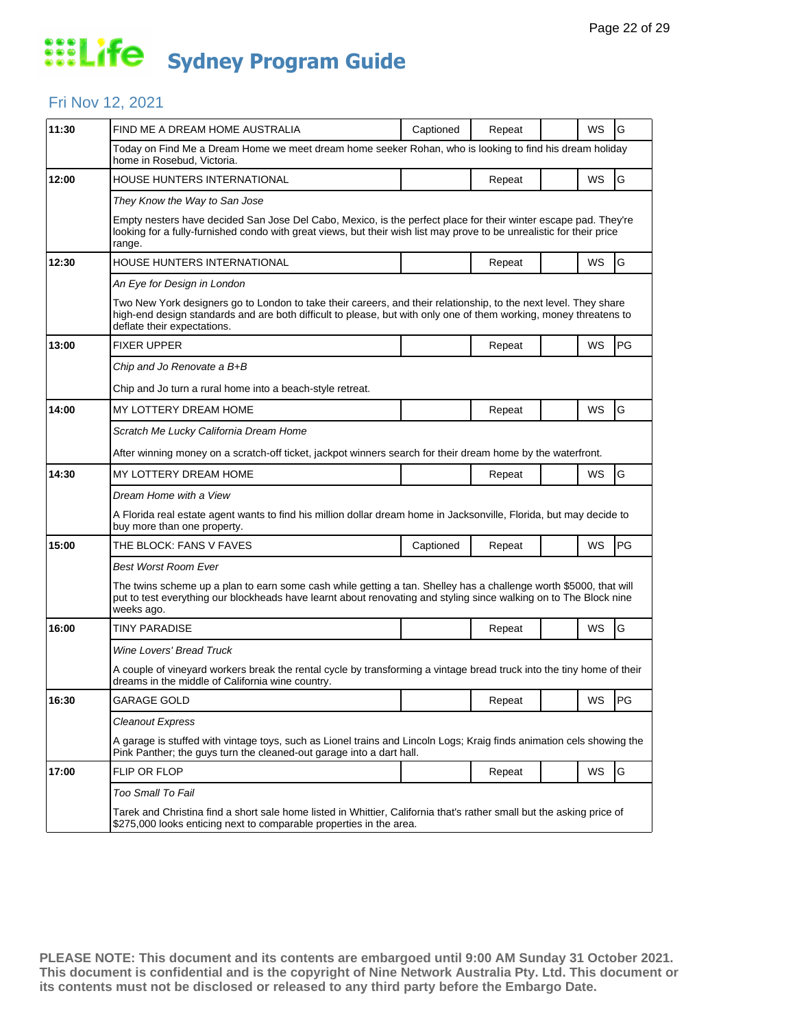### Fri Nov 12, 2021

| 11:30 | FIND ME A DREAM HOME AUSTRALIA                                                                                                                                                                                                                                       | Captioned | Repeat |  | WS    | G  |  |  |
|-------|----------------------------------------------------------------------------------------------------------------------------------------------------------------------------------------------------------------------------------------------------------------------|-----------|--------|--|-------|----|--|--|
|       | Today on Find Me a Dream Home we meet dream home seeker Rohan, who is looking to find his dream holiday<br>home in Rosebud. Victoria.                                                                                                                                |           |        |  |       |    |  |  |
| 12:00 | HOUSE HUNTERS INTERNATIONAL                                                                                                                                                                                                                                          |           | Repeat |  | WS    | G  |  |  |
|       | They Know the Way to San Jose                                                                                                                                                                                                                                        |           |        |  |       |    |  |  |
|       | Empty nesters have decided San Jose Del Cabo, Mexico, is the perfect place for their winter escape pad. They're<br>looking for a fully-furnished condo with great views, but their wish list may prove to be unrealistic for their price<br>range.                   |           |        |  |       |    |  |  |
| 12:30 | HOUSE HUNTERS INTERNATIONAL                                                                                                                                                                                                                                          |           | Repeat |  | WS    | G  |  |  |
|       | An Eye for Design in London                                                                                                                                                                                                                                          |           |        |  |       |    |  |  |
|       | Two New York designers go to London to take their careers, and their relationship, to the next level. They share<br>high-end design standards and are both difficult to please, but with only one of them working, money threatens to<br>deflate their expectations. |           |        |  |       |    |  |  |
| 13:00 | <b>FIXER UPPER</b>                                                                                                                                                                                                                                                   |           | Repeat |  | WS    | PG |  |  |
|       | Chip and Jo Renovate a B+B                                                                                                                                                                                                                                           |           |        |  |       |    |  |  |
|       | Chip and Jo turn a rural home into a beach-style retreat.                                                                                                                                                                                                            |           |        |  |       |    |  |  |
| 14:00 | MY LOTTERY DREAM HOME                                                                                                                                                                                                                                                |           | Repeat |  | WS    | G  |  |  |
|       | Scratch Me Lucky California Dream Home                                                                                                                                                                                                                               |           |        |  |       |    |  |  |
|       | After winning money on a scratch-off ticket, jackpot winners search for their dream home by the waterfront.                                                                                                                                                          |           |        |  |       |    |  |  |
| 14:30 | MY LOTTERY DREAM HOME                                                                                                                                                                                                                                                |           | Repeat |  | WS    | G  |  |  |
|       | Dream Home with a View                                                                                                                                                                                                                                               |           |        |  |       |    |  |  |
|       | A Florida real estate agent wants to find his million dollar dream home in Jacksonville, Florida, but may decide to<br>buy more than one property.                                                                                                                   |           |        |  |       |    |  |  |
| 15:00 | THE BLOCK: FANS V FAVES                                                                                                                                                                                                                                              | Captioned | Repeat |  | WS    | PG |  |  |
|       | <b>Best Worst Room Ever</b>                                                                                                                                                                                                                                          |           |        |  |       |    |  |  |
|       | The twins scheme up a plan to earn some cash while getting a tan. Shelley has a challenge worth \$5000, that will<br>put to test everything our blockheads have learnt about renovating and styling since walking on to The Block nine<br>weeks ago.                 |           |        |  |       |    |  |  |
| 16:00 | <b>TINY PARADISE</b>                                                                                                                                                                                                                                                 |           | Repeat |  | WS    | G  |  |  |
|       | Wine Lovers' Bread Truck                                                                                                                                                                                                                                             |           |        |  |       |    |  |  |
|       | A couple of vineyard workers break the rental cycle by transforming a vintage bread truck into the tiny home of their<br>dreams in the middle of California wine country.                                                                                            |           |        |  |       |    |  |  |
| 16:30 | <b>GARAGE GOLD</b>                                                                                                                                                                                                                                                   |           | Repeat |  | WS PG |    |  |  |
|       | <b>Cleanout Express</b>                                                                                                                                                                                                                                              |           |        |  |       |    |  |  |
|       | A garage is stuffed with vintage toys, such as Lionel trains and Lincoln Logs; Kraig finds animation cels showing the<br>Pink Panther; the guys turn the cleaned-out garage into a dart hall.                                                                        |           |        |  |       |    |  |  |
| 17:00 | FLIP OR FLOP                                                                                                                                                                                                                                                         |           | Repeat |  | WS    | G  |  |  |
|       | Too Small To Fail                                                                                                                                                                                                                                                    |           |        |  |       |    |  |  |
|       | Tarek and Christina find a short sale home listed in Whittier, California that's rather small but the asking price of<br>\$275,000 looks enticing next to comparable properties in the area.                                                                         |           |        |  |       |    |  |  |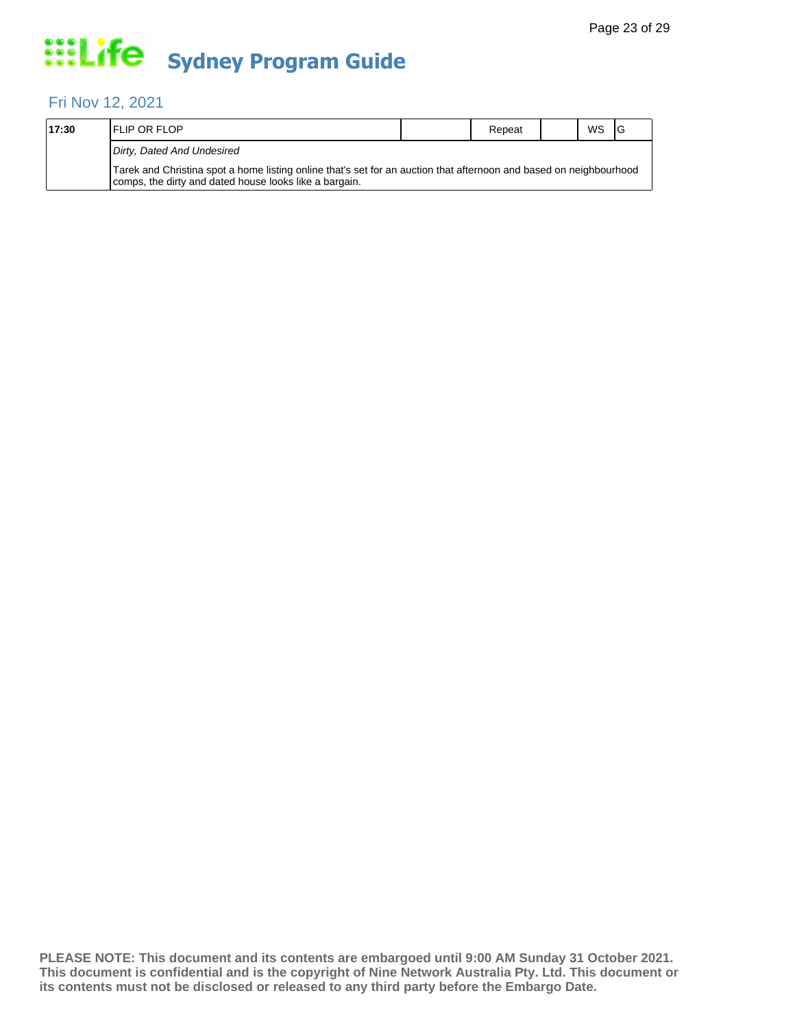### Fri Nov 12, 2021

| 17:30 | <b>IFLIP OR FLOP</b>                                                                                                                                                         | Repeat | <b>WS</b> | 1G |
|-------|------------------------------------------------------------------------------------------------------------------------------------------------------------------------------|--------|-----------|----|
|       | Dirty, Dated And Undesired                                                                                                                                                   |        |           |    |
|       | Tarek and Christina spot a home listing online that's set for an auction that afternoon and based on neighbourhood<br>comps, the dirty and dated house looks like a bargain. |        |           |    |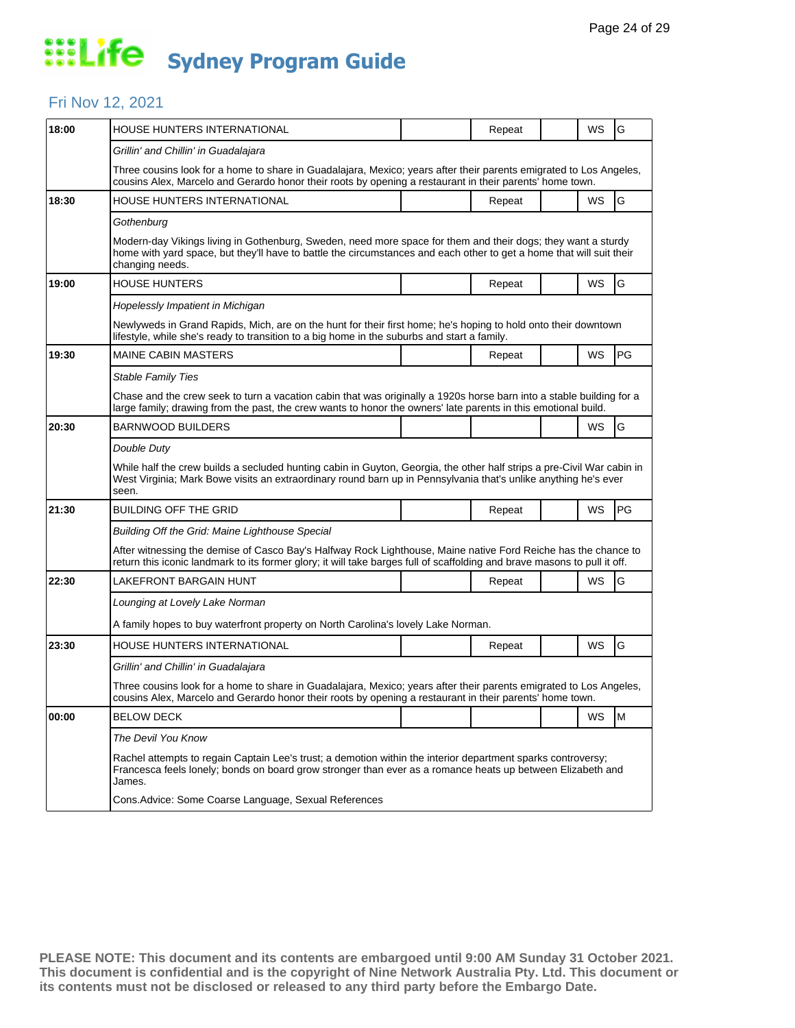#### Fri Nov 12, 2021

| 18:00 | HOUSE HUNTERS INTERNATIONAL                                                                                                                                                                                                                             |  | Repeat |  | WS | G  |  |  |  |
|-------|---------------------------------------------------------------------------------------------------------------------------------------------------------------------------------------------------------------------------------------------------------|--|--------|--|----|----|--|--|--|
|       | Grillin' and Chillin' in Guadalajara                                                                                                                                                                                                                    |  |        |  |    |    |  |  |  |
|       | Three cousins look for a home to share in Guadalajara, Mexico; years after their parents emigrated to Los Angeles,<br>cousins Alex, Marcelo and Gerardo honor their roots by opening a restaurant in their parents' home town.                          |  |        |  |    |    |  |  |  |
| 18:30 | HOUSE HUNTERS INTERNATIONAL                                                                                                                                                                                                                             |  | Repeat |  | WS | G  |  |  |  |
|       | Gothenburg                                                                                                                                                                                                                                              |  |        |  |    |    |  |  |  |
|       | Modern-day Vikings living in Gothenburg, Sweden, need more space for them and their dogs; they want a sturdy<br>home with yard space, but they'll have to battle the circumstances and each other to get a home that will suit their<br>changing needs. |  |        |  |    |    |  |  |  |
| 19:00 | <b>HOUSE HUNTERS</b>                                                                                                                                                                                                                                    |  | Repeat |  | WS | G  |  |  |  |
|       | Hopelessly Impatient in Michigan                                                                                                                                                                                                                        |  |        |  |    |    |  |  |  |
|       | Newlyweds in Grand Rapids, Mich, are on the hunt for their first home; he's hoping to hold onto their downtown<br>lifestyle, while she's ready to transition to a big home in the suburbs and start a family.                                           |  |        |  |    |    |  |  |  |
| 19:30 | <b>MAINE CABIN MASTERS</b>                                                                                                                                                                                                                              |  | Repeat |  | WS | PG |  |  |  |
|       | <b>Stable Family Ties</b>                                                                                                                                                                                                                               |  |        |  |    |    |  |  |  |
|       | Chase and the crew seek to turn a vacation cabin that was originally a 1920s horse barn into a stable building for a<br>large family; drawing from the past, the crew wants to honor the owners' late parents in this emotional build.                  |  |        |  |    |    |  |  |  |
| 20:30 | BARNWOOD BUILDERS                                                                                                                                                                                                                                       |  |        |  | WS | G  |  |  |  |
|       | Double Duty                                                                                                                                                                                                                                             |  |        |  |    |    |  |  |  |
|       | While half the crew builds a secluded hunting cabin in Guyton, Georgia, the other half strips a pre-Civil War cabin in<br>West Virginia; Mark Bowe visits an extraordinary round barn up in Pennsylvania that's unlike anything he's ever<br>seen.      |  |        |  |    |    |  |  |  |
| 21:30 | <b>BUILDING OFF THE GRID</b>                                                                                                                                                                                                                            |  | Repeat |  | WS | PG |  |  |  |
|       | Building Off the Grid: Maine Lighthouse Special                                                                                                                                                                                                         |  |        |  |    |    |  |  |  |
|       | After witnessing the demise of Casco Bay's Halfway Rock Lighthouse, Maine native Ford Reiche has the chance to<br>return this iconic landmark to its former glory; it will take barges full of scaffolding and brave masons to pull it off.             |  |        |  |    |    |  |  |  |
| 22:30 | LAKEFRONT BARGAIN HUNT                                                                                                                                                                                                                                  |  | Repeat |  | WS | G  |  |  |  |
|       | Lounging at Lovely Lake Norman                                                                                                                                                                                                                          |  |        |  |    |    |  |  |  |
|       | A family hopes to buy waterfront property on North Carolina's lovely Lake Norman.                                                                                                                                                                       |  |        |  |    |    |  |  |  |
| 23:30 | HOUSE HUNTERS INTERNATIONAL                                                                                                                                                                                                                             |  | Repeat |  | WS | G  |  |  |  |
|       | Grillin' and Chillin' in Guadalajara                                                                                                                                                                                                                    |  |        |  |    |    |  |  |  |
|       | Three cousins look for a home to share in Guadalajara, Mexico; years after their parents emigrated to Los Angeles,<br>cousins Alex, Marcelo and Gerardo honor their roots by opening a restaurant in their parents' home town.                          |  |        |  |    |    |  |  |  |
| 00:00 | <b>BELOW DECK</b>                                                                                                                                                                                                                                       |  |        |  | WS | M  |  |  |  |
|       | The Devil You Know                                                                                                                                                                                                                                      |  |        |  |    |    |  |  |  |
|       | Rachel attempts to regain Captain Lee's trust; a demotion within the interior department sparks controversy;<br>Francesca feels lonely; bonds on board grow stronger than ever as a romance heats up between Elizabeth and<br>James.                    |  |        |  |    |    |  |  |  |
|       | Cons. Advice: Some Coarse Language, Sexual References                                                                                                                                                                                                   |  |        |  |    |    |  |  |  |
|       |                                                                                                                                                                                                                                                         |  |        |  |    |    |  |  |  |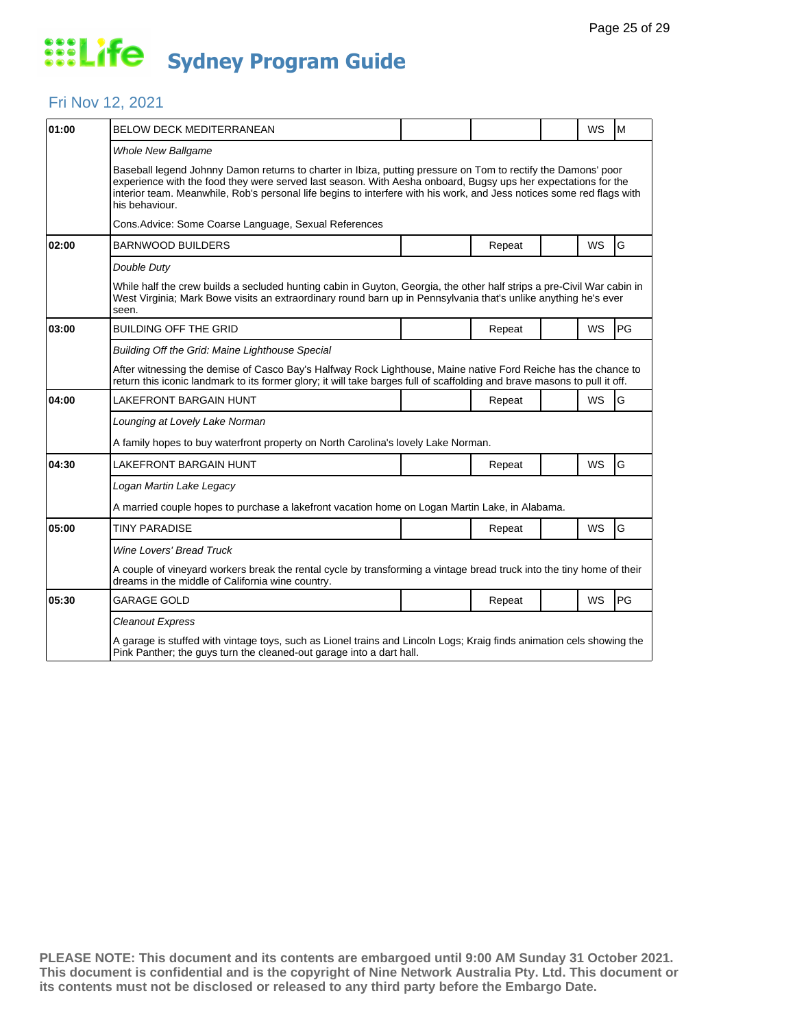### Fri Nov 12, 2021

| 01:00 | <b>BELOW DECK MEDITERRANEAN</b>                                                                                                                                                                                                                                                                                                                                           |  |        |  | <b>WS</b> | l M       |  |  |
|-------|---------------------------------------------------------------------------------------------------------------------------------------------------------------------------------------------------------------------------------------------------------------------------------------------------------------------------------------------------------------------------|--|--------|--|-----------|-----------|--|--|
|       | <b>Whole New Ballgame</b>                                                                                                                                                                                                                                                                                                                                                 |  |        |  |           |           |  |  |
|       | Baseball legend Johnny Damon returns to charter in Ibiza, putting pressure on Tom to rectify the Damons' poor<br>experience with the food they were served last season. With Aesha onboard, Bugsy ups her expectations for the<br>interior team. Meanwhile, Rob's personal life begins to interfere with his work, and Jess notices some red flags with<br>his behaviour. |  |        |  |           |           |  |  |
|       | Cons. Advice: Some Coarse Language, Sexual References                                                                                                                                                                                                                                                                                                                     |  |        |  |           |           |  |  |
| 02:00 | <b>BARNWOOD BUILDERS</b>                                                                                                                                                                                                                                                                                                                                                  |  | Repeat |  | WS        | G         |  |  |
|       | Double Duty                                                                                                                                                                                                                                                                                                                                                               |  |        |  |           |           |  |  |
|       | While half the crew builds a secluded hunting cabin in Guyton, Georgia, the other half strips a pre-Civil War cabin in<br>West Virginia; Mark Bowe visits an extraordinary round barn up in Pennsylvania that's unlike anything he's ever<br>seen.                                                                                                                        |  |        |  |           |           |  |  |
| 03:00 | <b>BUILDING OFF THE GRID</b>                                                                                                                                                                                                                                                                                                                                              |  | Repeat |  | <b>WS</b> | PG        |  |  |
|       | Building Off the Grid: Maine Lighthouse Special                                                                                                                                                                                                                                                                                                                           |  |        |  |           |           |  |  |
|       | After witnessing the demise of Casco Bay's Halfway Rock Lighthouse, Maine native Ford Reiche has the chance to<br>return this iconic landmark to its former glory; it will take barges full of scaffolding and brave masons to pull it off.                                                                                                                               |  |        |  |           |           |  |  |
| 04:00 | <b>LAKEFRONT BARGAIN HUNT</b>                                                                                                                                                                                                                                                                                                                                             |  | Repeat |  | WS        | G         |  |  |
|       | Lounging at Lovely Lake Norman                                                                                                                                                                                                                                                                                                                                            |  |        |  |           |           |  |  |
|       | A family hopes to buy waterfront property on North Carolina's lovely Lake Norman.                                                                                                                                                                                                                                                                                         |  |        |  |           |           |  |  |
| 04:30 | <b>LAKEFRONT BARGAIN HUNT</b>                                                                                                                                                                                                                                                                                                                                             |  | Repeat |  | <b>WS</b> | G         |  |  |
|       | Logan Martin Lake Legacy                                                                                                                                                                                                                                                                                                                                                  |  |        |  |           |           |  |  |
|       | A married couple hopes to purchase a lakefront vacation home on Logan Martin Lake, in Alabama.                                                                                                                                                                                                                                                                            |  |        |  |           |           |  |  |
| 05:00 | TINY PARADISE                                                                                                                                                                                                                                                                                                                                                             |  | Repeat |  | WS        | G         |  |  |
|       | <b>Wine Lovers' Bread Truck</b>                                                                                                                                                                                                                                                                                                                                           |  |        |  |           |           |  |  |
|       | A couple of vineyard workers break the rental cycle by transforming a vintage bread truck into the tiny home of their<br>dreams in the middle of California wine country.                                                                                                                                                                                                 |  |        |  |           |           |  |  |
| 05:30 | <b>GARAGE GOLD</b>                                                                                                                                                                                                                                                                                                                                                        |  | Repeat |  | <b>WS</b> | <b>PG</b> |  |  |
|       | <b>Cleanout Express</b>                                                                                                                                                                                                                                                                                                                                                   |  |        |  |           |           |  |  |
|       | A garage is stuffed with vintage toys, such as Lionel trains and Lincoln Logs; Kraig finds animation cels showing the<br>Pink Panther; the guys turn the cleaned-out garage into a dart hall.                                                                                                                                                                             |  |        |  |           |           |  |  |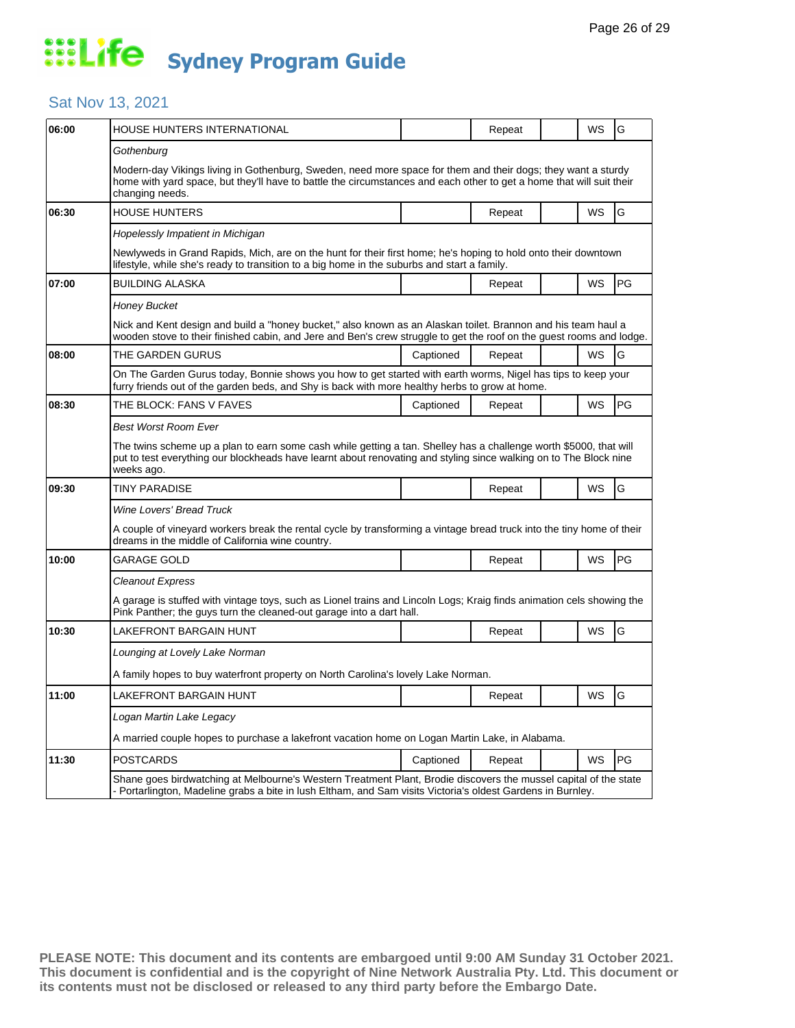### Sat Nov 13, 2021

| 06:00 | HOUSE HUNTERS INTERNATIONAL                                                                                                                                                                                                                             |           | Repeat |  | WS | G  |  |  |
|-------|---------------------------------------------------------------------------------------------------------------------------------------------------------------------------------------------------------------------------------------------------------|-----------|--------|--|----|----|--|--|
|       | Gothenburg                                                                                                                                                                                                                                              |           |        |  |    |    |  |  |
|       | Modern-day Vikings living in Gothenburg, Sweden, need more space for them and their dogs; they want a sturdy<br>home with yard space, but they'll have to battle the circumstances and each other to get a home that will suit their<br>changing needs. |           |        |  |    |    |  |  |
| 06:30 | <b>HOUSE HUNTERS</b>                                                                                                                                                                                                                                    |           | Repeat |  | WS | G  |  |  |
|       | Hopelessly Impatient in Michigan                                                                                                                                                                                                                        |           |        |  |    |    |  |  |
|       | Newlyweds in Grand Rapids, Mich, are on the hunt for their first home; he's hoping to hold onto their downtown<br>lifestyle, while she's ready to transition to a big home in the suburbs and start a family.                                           |           |        |  |    |    |  |  |
| 07:00 | <b>BUILDING ALASKA</b>                                                                                                                                                                                                                                  |           | Repeat |  | WS | PG |  |  |
|       | Honey Bucket                                                                                                                                                                                                                                            |           |        |  |    |    |  |  |
|       | Nick and Kent design and build a "honey bucket," also known as an Alaskan toilet. Brannon and his team haul a<br>wooden stove to their finished cabin, and Jere and Ben's crew struggle to get the roof on the guest rooms and lodge.                   |           |        |  |    |    |  |  |
| 08:00 | THE GARDEN GURUS                                                                                                                                                                                                                                        | Captioned | Repeat |  | WS | G  |  |  |
|       | On The Garden Gurus today, Bonnie shows you how to get started with earth worms, Nigel has tips to keep your<br>furry friends out of the garden beds, and Shy is back with more healthy herbs to grow at home.                                          |           |        |  |    |    |  |  |
| 08:30 | THE BLOCK: FANS V FAVES                                                                                                                                                                                                                                 | Captioned | Repeat |  | WS | PG |  |  |
|       | Best Worst Room Ever                                                                                                                                                                                                                                    |           |        |  |    |    |  |  |
|       | The twins scheme up a plan to earn some cash while getting a tan. Shelley has a challenge worth \$5000, that will<br>put to test everything our blockheads have learnt about renovating and styling since walking on to The Block nine<br>weeks ago.    |           |        |  |    |    |  |  |
| 09:30 | <b>TINY PARADISE</b>                                                                                                                                                                                                                                    |           | Repeat |  | WS | G  |  |  |
|       | <b>Wine Lovers' Bread Truck</b>                                                                                                                                                                                                                         |           |        |  |    |    |  |  |
|       | A couple of vineyard workers break the rental cycle by transforming a vintage bread truck into the tiny home of their<br>dreams in the middle of California wine country.                                                                               |           |        |  |    |    |  |  |
| 10:00 | GARAGE GOLD                                                                                                                                                                                                                                             |           | Repeat |  | WS | PG |  |  |
|       | Cleanout Express                                                                                                                                                                                                                                        |           |        |  |    |    |  |  |
|       | A garage is stuffed with vintage toys, such as Lionel trains and Lincoln Logs; Kraig finds animation cels showing the<br>Pink Panther; the guys turn the cleaned-out garage into a dart hall.                                                           |           |        |  |    |    |  |  |
| 10:30 | LAKEFRONT BARGAIN HUNT                                                                                                                                                                                                                                  |           | Repeat |  | WS | G  |  |  |
|       | Lounging at Lovely Lake Norman                                                                                                                                                                                                                          |           |        |  |    |    |  |  |
|       | A family hopes to buy waterfront property on North Carolina's lovely Lake Norman.                                                                                                                                                                       |           |        |  |    |    |  |  |
| 11:00 | LAKEFRONT BARGAIN HUNT                                                                                                                                                                                                                                  |           | Repeat |  | WS | G  |  |  |
|       | Logan Martin Lake Legacy                                                                                                                                                                                                                                |           |        |  |    |    |  |  |
|       | A married couple hopes to purchase a lakefront vacation home on Logan Martin Lake, in Alabama.                                                                                                                                                          |           |        |  |    |    |  |  |
| 11:30 | <b>POSTCARDS</b>                                                                                                                                                                                                                                        | Captioned | Repeat |  | WS | PG |  |  |
|       | Shane goes birdwatching at Melbourne's Western Treatment Plant, Brodie discovers the mussel capital of the state<br>- Portarlington, Madeline grabs a bite in lush Eltham, and Sam visits Victoria's oldest Gardens in Burnley.                         |           |        |  |    |    |  |  |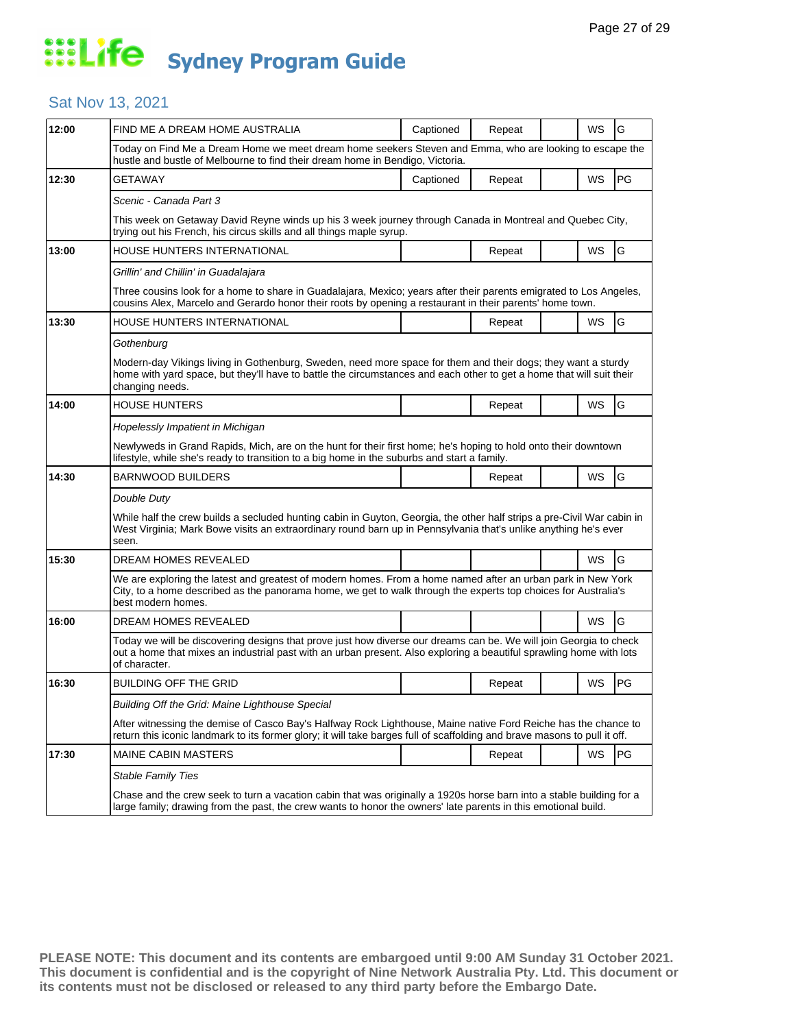### Sat Nov 13, 2021

| 12:00 | FIND ME A DREAM HOME AUSTRALIA                                                                                                                                                                                                                            | Captioned | Repeat |  | WS | G  |  |  |  |
|-------|-----------------------------------------------------------------------------------------------------------------------------------------------------------------------------------------------------------------------------------------------------------|-----------|--------|--|----|----|--|--|--|
|       | Today on Find Me a Dream Home we meet dream home seekers Steven and Emma, who are looking to escape the<br>hustle and bustle of Melbourne to find their dream home in Bendigo, Victoria.                                                                  |           |        |  |    |    |  |  |  |
| 12:30 | <b>GETAWAY</b>                                                                                                                                                                                                                                            | Captioned | Repeat |  | WS | PG |  |  |  |
|       | Scenic - Canada Part 3                                                                                                                                                                                                                                    |           |        |  |    |    |  |  |  |
|       | This week on Getaway David Reyne winds up his 3 week journey through Canada in Montreal and Quebec City,<br>trying out his French, his circus skills and all things maple syrup.                                                                          |           |        |  |    |    |  |  |  |
| 13:00 | HOUSE HUNTERS INTERNATIONAL                                                                                                                                                                                                                               |           | Repeat |  | WS | G  |  |  |  |
|       | Grillin' and Chillin' in Guadalajara                                                                                                                                                                                                                      |           |        |  |    |    |  |  |  |
|       | Three cousins look for a home to share in Guadalajara, Mexico; years after their parents emigrated to Los Angeles,<br>cousins Alex, Marcelo and Gerardo honor their roots by opening a restaurant in their parents' home town.                            |           |        |  |    |    |  |  |  |
| 13:30 | HOUSE HUNTERS INTERNATIONAL                                                                                                                                                                                                                               |           | Repeat |  | WS | G  |  |  |  |
|       | Gothenburg                                                                                                                                                                                                                                                |           |        |  |    |    |  |  |  |
|       | Modern-day Vikings living in Gothenburg, Sweden, need more space for them and their dogs; they want a sturdy<br>home with yard space, but they'll have to battle the circumstances and each other to get a home that will suit their<br>changing needs.   |           |        |  |    |    |  |  |  |
| 14:00 | <b>HOUSE HUNTERS</b>                                                                                                                                                                                                                                      |           | Repeat |  | WS | G  |  |  |  |
|       | Hopelessly Impatient in Michigan                                                                                                                                                                                                                          |           |        |  |    |    |  |  |  |
|       | Newlyweds in Grand Rapids, Mich, are on the hunt for their first home; he's hoping to hold onto their downtown<br>lifestyle, while she's ready to transition to a big home in the suburbs and start a family.                                             |           |        |  |    |    |  |  |  |
| 14:30 | <b>BARNWOOD BUILDERS</b>                                                                                                                                                                                                                                  |           | Repeat |  | WS | G  |  |  |  |
|       | Double Duty                                                                                                                                                                                                                                               |           |        |  |    |    |  |  |  |
|       | While half the crew builds a secluded hunting cabin in Guyton, Georgia, the other half strips a pre-Civil War cabin in<br>West Virginia; Mark Bowe visits an extraordinary round barn up in Pennsylvania that's unlike anything he's ever<br>seen.        |           |        |  |    |    |  |  |  |
| 15:30 | DREAM HOMES REVEALED                                                                                                                                                                                                                                      |           |        |  | WS | G  |  |  |  |
|       | We are exploring the latest and greatest of modern homes. From a home named after an urban park in New York<br>City, to a home described as the panorama home, we get to walk through the experts top choices for Australia's<br>best modern homes.       |           |        |  |    |    |  |  |  |
| 16:00 | DREAM HOMES REVEALED                                                                                                                                                                                                                                      |           |        |  | WS | G  |  |  |  |
|       | Today we will be discovering designs that prove just how diverse our dreams can be. We will join Georgia to check<br>out a home that mixes an industrial past with an urban present. Also exploring a beautiful sprawling home with lots<br>of character. |           |        |  |    |    |  |  |  |
| 16:30 | <b>BUILDING OFF THE GRID</b>                                                                                                                                                                                                                              |           | Repeat |  | WS | PG |  |  |  |
|       | Building Off the Grid: Maine Lighthouse Special                                                                                                                                                                                                           |           |        |  |    |    |  |  |  |
|       | After witnessing the demise of Casco Bay's Halfway Rock Lighthouse, Maine native Ford Reiche has the chance to<br>return this iconic landmark to its former glory; it will take barges full of scaffolding and brave masons to pull it off.               |           |        |  |    |    |  |  |  |
| 17:30 | <b>MAINE CABIN MASTERS</b>                                                                                                                                                                                                                                |           | Repeat |  | WS | PG |  |  |  |
|       | <b>Stable Family Ties</b>                                                                                                                                                                                                                                 |           |        |  |    |    |  |  |  |
|       | Chase and the crew seek to turn a vacation cabin that was originally a 1920s horse barn into a stable building for a<br>large family; drawing from the past, the crew wants to honor the owners' late parents in this emotional build.                    |           |        |  |    |    |  |  |  |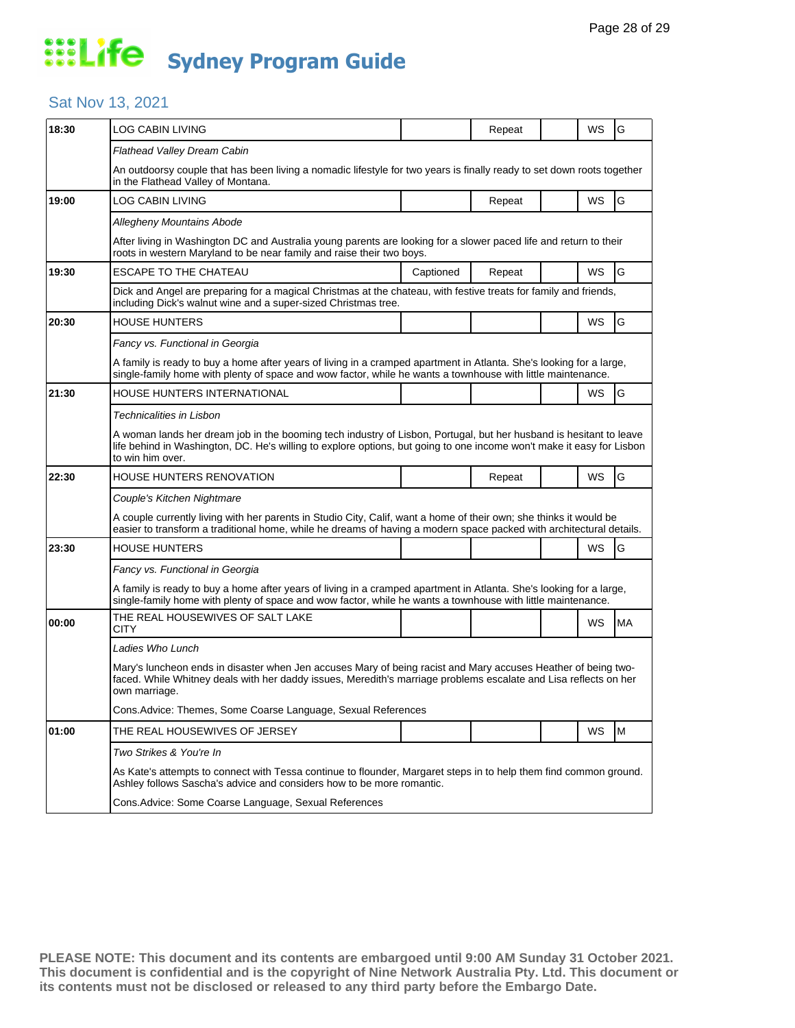#### Sat Nov 13, 2021

| 18:30 | <b>LOG CABIN LIVING</b>                                                                                                                                                                                                                                         |           | Repeat |  | WS        | G         |  |  |
|-------|-----------------------------------------------------------------------------------------------------------------------------------------------------------------------------------------------------------------------------------------------------------------|-----------|--------|--|-----------|-----------|--|--|
|       | Flathead Valley Dream Cabin                                                                                                                                                                                                                                     |           |        |  |           |           |  |  |
|       | An outdoorsy couple that has been living a nomadic lifestyle for two years is finally ready to set down roots together<br>in the Flathead Valley of Montana.                                                                                                    |           |        |  |           |           |  |  |
| 19:00 | LOG CABIN LIVING                                                                                                                                                                                                                                                |           | Repeat |  | WS        | G         |  |  |
|       | <b>Allegheny Mountains Abode</b>                                                                                                                                                                                                                                |           |        |  |           |           |  |  |
|       | After living in Washington DC and Australia young parents are looking for a slower paced life and return to their<br>roots in western Maryland to be near family and raise their two boys.                                                                      |           |        |  |           |           |  |  |
| 19:30 | <b>ESCAPE TO THE CHATEAU</b>                                                                                                                                                                                                                                    | Captioned | Repeat |  | WS        | G         |  |  |
|       | Dick and Angel are preparing for a magical Christmas at the chateau, with festive treats for family and friends,<br>including Dick's walnut wine and a super-sized Christmas tree.                                                                              |           |        |  |           |           |  |  |
| 20:30 | <b>HOUSE HUNTERS</b>                                                                                                                                                                                                                                            |           |        |  | WS        | G         |  |  |
|       | Fancy vs. Functional in Georgia                                                                                                                                                                                                                                 |           |        |  |           |           |  |  |
|       | A family is ready to buy a home after years of living in a cramped apartment in Atlanta. She's looking for a large,<br>single-family home with plenty of space and wow factor, while he wants a townhouse with little maintenance.                              |           |        |  |           |           |  |  |
| 21:30 | HOUSE HUNTERS INTERNATIONAL                                                                                                                                                                                                                                     |           |        |  | <b>WS</b> | G         |  |  |
|       | Technicalities in Lisbon                                                                                                                                                                                                                                        |           |        |  |           |           |  |  |
|       | A woman lands her dream job in the booming tech industry of Lisbon, Portugal, but her husband is hesitant to leave<br>life behind in Washington, DC. He's willing to explore options, but going to one income won't make it easy for Lisbon<br>to win him over. |           |        |  |           |           |  |  |
| 22:30 | HOUSE HUNTERS RENOVATION                                                                                                                                                                                                                                        |           | Repeat |  | WS        | G         |  |  |
|       | Couple's Kitchen Nightmare                                                                                                                                                                                                                                      |           |        |  |           |           |  |  |
|       | A couple currently living with her parents in Studio City, Calif, want a home of their own; she thinks it would be<br>easier to transform a traditional home, while he dreams of having a modern space packed with architectural details.                       |           |        |  |           |           |  |  |
| 23:30 | <b>HOUSE HUNTERS</b>                                                                                                                                                                                                                                            |           |        |  | WS        | G         |  |  |
|       | Fancy vs. Functional in Georgia                                                                                                                                                                                                                                 |           |        |  |           |           |  |  |
|       | A family is ready to buy a home after years of living in a cramped apartment in Atlanta. She's looking for a large,<br>single-family home with plenty of space and wow factor, while he wants a townhouse with little maintenance.                              |           |        |  |           |           |  |  |
| 00:00 | THE REAL HOUSEWIVES OF SALT LAKE<br>CITY                                                                                                                                                                                                                        |           |        |  | WS        | <b>MA</b> |  |  |
|       | Ladies Who Lunch                                                                                                                                                                                                                                                |           |        |  |           |           |  |  |
|       | Mary's luncheon ends in disaster when Jen accuses Mary of being racist and Mary accuses Heather of being two-<br>faced. While Whitney deals with her daddy issues, Meredith's marriage problems escalate and Lisa reflects on her<br>own marriage.              |           |        |  |           |           |  |  |
|       | Cons.Advice: Themes, Some Coarse Language, Sexual References                                                                                                                                                                                                    |           |        |  |           |           |  |  |
| 01:00 | THE REAL HOUSEWIVES OF JERSEY                                                                                                                                                                                                                                   |           |        |  | WS        | M         |  |  |
|       | Two Strikes & You're In                                                                                                                                                                                                                                         |           |        |  |           |           |  |  |
|       | As Kate's attempts to connect with Tessa continue to flounder, Margaret steps in to help them find common ground.<br>Ashley follows Sascha's advice and considers how to be more romantic.                                                                      |           |        |  |           |           |  |  |
|       | Cons. Advice: Some Coarse Language, Sexual References                                                                                                                                                                                                           |           |        |  |           |           |  |  |